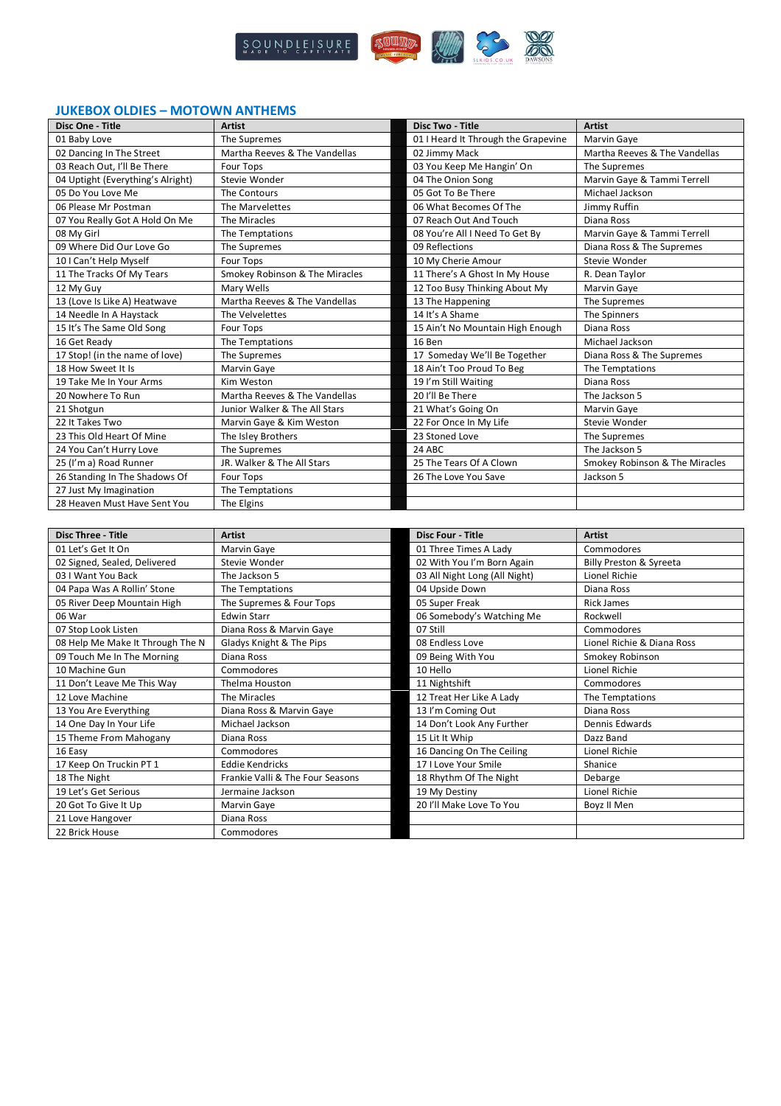

# **JUKEBOX OLDIES – MOTOWN ANTHEMS**

| Disc One - Title                  | <b>Artist</b>                  | Disc Two - Title                    | <b>Artist</b>                      |
|-----------------------------------|--------------------------------|-------------------------------------|------------------------------------|
| 01 Baby Love                      | The Supremes                   | 01 I Heard It Through the Grapevine | Marvin Gaye                        |
| 02 Dancing In The Street          | Martha Reeves & The Vandellas  | 02 Jimmy Mack                       | Martha Reeves & The Vandellas      |
| 03 Reach Out, I'll Be There       | Four Tops                      | 03 You Keep Me Hangin' On           | The Supremes                       |
| 04 Uptight (Everything's Alright) | Stevie Wonder                  | 04 The Onion Song                   | Marvin Gaye & Tammi Terrell        |
| 05 Do You Love Me                 | The Contours                   | 05 Got To Be There                  | Michael Jackson                    |
| 06 Please Mr Postman              | The Marvelettes                | 06 What Becomes Of The              | Jimmy Ruffin                       |
| 07 You Really Got A Hold On Me    | The Miracles                   | 07 Reach Out And Touch              | Diana Ross                         |
| 08 My Girl                        | The Temptations                | 08 You're All I Need To Get By      | Marvin Gaye & Tammi Terrell        |
| 09 Where Did Our Love Go          | The Supremes                   | 09 Reflections                      | Diana Ross & The Supremes          |
| 10 I Can't Help Myself            | <b>Four Tops</b>               | 10 My Cherie Amour                  | Stevie Wonder                      |
| 11 The Tracks Of My Tears         | Smokey Robinson & The Miracles | 11 There's A Ghost In My House      | R. Dean Taylor                     |
| 12 My Guy                         | Mary Wells                     | 12 Too Busy Thinking About My       | <b>Marvin Gaye</b>                 |
| 13 (Love Is Like A) Heatwave      | Martha Reeves & The Vandellas  | 13 The Happening                    | The Supremes                       |
| 14 Needle In A Haystack           | The Velvelettes                | 14 It's A Shame                     | The Spinners                       |
| 15 It's The Same Old Song         | Four Tops                      | 15 Ain't No Mountain High Enough    | Diana Ross                         |
| 16 Get Ready                      | The Temptations                | 16 Ben                              | Michael Jackson                    |
| 17 Stop! (in the name of love)    | The Supremes                   | 17 Someday We'll Be Together        | Diana Ross & The Supremes          |
| 18 How Sweet It Is                | Marvin Gaye                    | 18 Ain't Too Proud To Beg           | The Temptations                    |
| 19 Take Me In Your Arms           | Kim Weston                     | 19 I'm Still Waiting                | Diana Ross                         |
| 20 Nowhere To Run                 | Martha Reeves & The Vandellas  | 20 I'll Be There                    | The Jackson 5                      |
| 21 Shotgun                        | Junior Walker & The All Stars  | 21 What's Going On                  | Marvin Gaye                        |
| 22 It Takes Two                   | Marvin Gaye & Kim Weston       | 22 For Once In My Life              | Stevie Wonder                      |
| 23 This Old Heart Of Mine         | The Isley Brothers             | 23 Stoned Love                      | The Supremes                       |
| 24 You Can't Hurry Love           | The Supremes                   | 24 ABC                              | The Jackson 5                      |
| 25 (I'm a) Road Runner            | JR. Walker & The All Stars     | 25 The Tears Of A Clown             | Smokey Robinson & The Miracles     |
| 26 Standing In The Shadows Of     | Four Tops                      | 26 The Love You Save                | Jackson 5                          |
| 27 Just My Imagination            | The Temptations                |                                     |                                    |
| 28 Heaven Must Have Sent You      | The Elgins                     |                                     |                                    |
|                                   |                                |                                     |                                    |
| <b>Disc Three - Title</b>         | <b>Artist</b>                  | <b>Disc Four - Title</b>            | <b>Artist</b>                      |
| 01 Let's Get It On                | Marvin Gaye                    | 01 Three Times A Lady               | Commodores                         |
| 02 Signed, Sealed, Delivered      | Stevie Wonder                  | 02 With You I'm Born Again          | <b>Billy Preston &amp; Syreeta</b> |

| 01 Let's Get It On               | Marvin Gaye                      | 01 Three Times A Lady         | Commodores                 |
|----------------------------------|----------------------------------|-------------------------------|----------------------------|
| 02 Signed, Sealed, Delivered     | Stevie Wonder                    | 02 With You I'm Born Again    | Billy Preston & Syreeta    |
| 03 I Want You Back               | The Jackson 5                    | 03 All Night Long (All Night) | Lionel Richie              |
| 04 Papa Was A Rollin' Stone      | The Temptations                  | 04 Upside Down                | Diana Ross                 |
| 05 River Deep Mountain High      | The Supremes & Four Tops         | 05 Super Freak                | <b>Rick James</b>          |
| 06 War                           | <b>Edwin Starr</b>               | 06 Somebody's Watching Me     | Rockwell                   |
| 07 Stop Look Listen              | Diana Ross & Marvin Gaye         | 07 Still                      | Commodores                 |
| 08 Help Me Make It Through The N | Gladys Knight & The Pips         | 08 Endless Love               | Lionel Richie & Diana Ross |
| 09 Touch Me In The Morning       | Diana Ross                       | 09 Being With You             | Smokey Robinson            |
| 10 Machine Gun                   | Commodores                       | 10 Hello                      | Lionel Richie              |
| 11 Don't Leave Me This Way       | Thelma Houston                   | 11 Nightshift                 | Commodores                 |
| 12 Love Machine                  | The Miracles                     | 12 Treat Her Like A Lady      | The Temptations            |
| 13 You Are Everything            | Diana Ross & Marvin Gaye         | 13 I'm Coming Out             | Diana Ross                 |
| 14 One Day In Your Life          | Michael Jackson                  | 14 Don't Look Any Further     | Dennis Edwards             |
| 15 Theme From Mahogany           | Diana Ross                       | 15 Lit It Whip                | Dazz Band                  |
| 16 Easy                          | Commodores                       | 16 Dancing On The Ceiling     | Lionel Richie              |
| 17 Keep On Truckin PT 1          | <b>Eddie Kendricks</b>           | 17 I Love Your Smile          | Shanice                    |
| 18 The Night                     | Frankie Valli & The Four Seasons | 18 Rhythm Of The Night        | Debarge                    |
| 19 Let's Get Serious             | Jermaine Jackson                 | 19 My Destiny                 | Lionel Richie              |
| 20 Got To Give It Up             | Marvin Gaye                      | 20 I'll Make Love To You      | Boyz II Men                |
| 21 Love Hangover                 | Diana Ross                       |                               |                            |
| 22 Brick House                   | Commodores                       |                               |                            |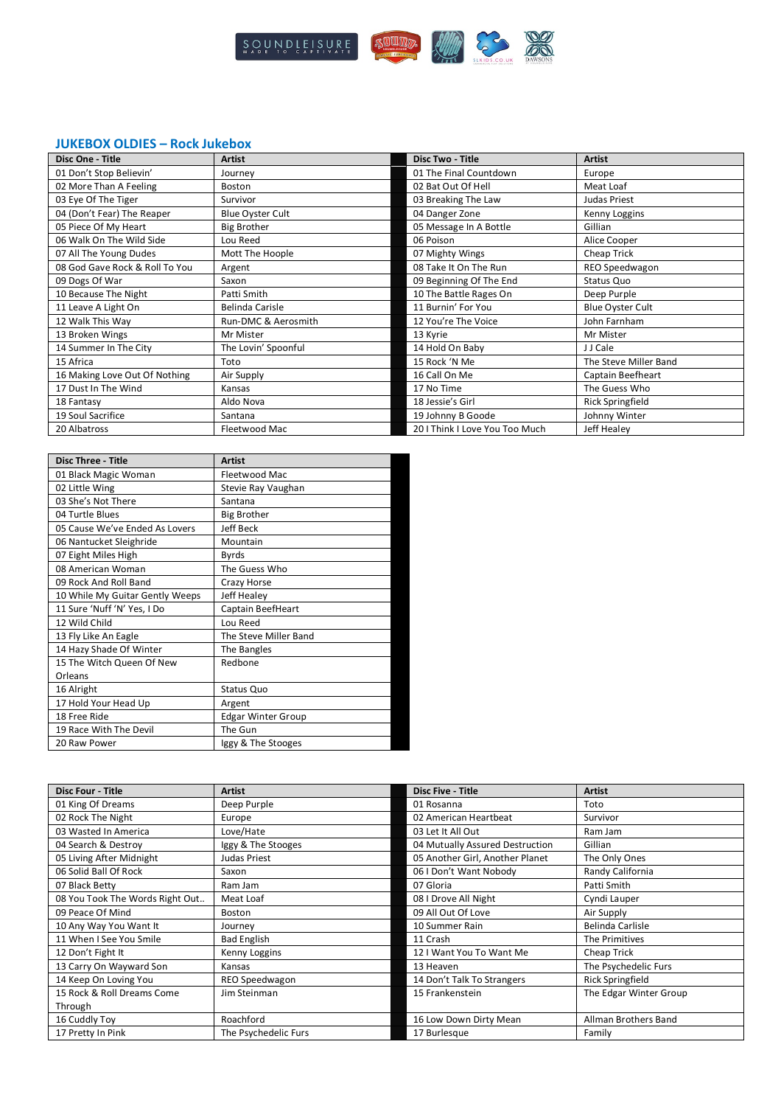

### **JUKEBOX OLDIES – Rock Jukebox**

| Disc One - Title               | <b>Artist</b>           | <b>Disc Two - Title</b>       | <b>Artist</b>            |
|--------------------------------|-------------------------|-------------------------------|--------------------------|
| 01 Don't Stop Believin'        | Journey                 | 01 The Final Countdown        | Europe                   |
| 02 More Than A Feeling         | Boston                  | 02 Bat Out Of Hell            | Meat Loaf                |
| 03 Eye Of The Tiger            | Survivor                | 03 Breaking The Law           | <b>Judas Priest</b>      |
| 04 (Don't Fear) The Reaper     | <b>Blue Oyster Cult</b> | 04 Danger Zone                | Kenny Loggins            |
| 05 Piece Of My Heart           | <b>Big Brother</b>      | 05 Message In A Bottle        | Gillian                  |
| 06 Walk On The Wild Side       | Lou Reed                | 06 Poison                     | Alice Cooper             |
| 07 All The Young Dudes         | Mott The Hoople         | 07 Mighty Wings               | Cheap Trick              |
| 08 God Gave Rock & Roll To You | Argent                  | 08 Take It On The Run         | REO Speedwagon           |
| 09 Dogs Of War                 | Saxon                   | 09 Beginning Of The End       | Status Quo               |
| 10 Because The Night           | Patti Smith             | 10 The Battle Rages On        | Deep Purple              |
| 11 Leave A Light On            | Belinda Carisle         | 11 Burnin' For You            | <b>Blue Oyster Cult</b>  |
| 12 Walk This Way               | Run-DMC & Aerosmith     | 12 You're The Voice           | John Farnham             |
| 13 Broken Wings                | Mr Mister               | 13 Kyrie                      | Mr Mister                |
| 14 Summer In The City          | The Lovin' Spoonful     | 14 Hold On Baby               | J J Cale                 |
| 15 Africa                      | Toto                    | 15 Rock 'N Me                 | The Steve Miller Band    |
| 16 Making Love Out Of Nothing  | Air Supply              | 16 Call On Me                 | <b>Captain Beefheart</b> |
| 17 Dust In The Wind            | Kansas                  | 17 No Time                    | The Guess Who            |
| 18 Fantasy                     | Aldo Nova               | 18 Jessie's Girl              | <b>Rick Springfield</b>  |
| 19 Soul Sacrifice              | Santana                 | 19 Johnny B Goode             | Johnny Winter            |
| 20 Albatross                   | Fleetwood Mac           | 201 Think I Love You Too Much | Jeff Healey              |

| <b>Disc Three - Title</b>       | <b>Artist</b>             |
|---------------------------------|---------------------------|
| 01 Black Magic Woman            | Fleetwood Mac             |
| 02 Little Wing                  | Stevie Ray Vaughan        |
| 03 She's Not There              | Santana                   |
| 04 Turtle Blues                 | <b>Big Brother</b>        |
| 05 Cause We've Ended As Lovers  | <b>Jeff Beck</b>          |
| 06 Nantucket Sleighride         | Mountain                  |
| 07 Eight Miles High             | <b>Byrds</b>              |
| 08 American Woman               | The Guess Who             |
| 09 Rock And Roll Band           | Crazy Horse               |
| 10 While My Guitar Gently Weeps | Jeff Healey               |
| 11 Sure 'Nuff 'N' Yes, I Do     | Captain BeefHeart         |
| 12 Wild Child                   | Lou Reed                  |
| 13 Fly Like An Eagle            | The Steve Miller Band     |
| 14 Hazy Shade Of Winter         | The Bangles               |
| 15 The Witch Queen Of New       | Redbone                   |
| Orleans                         |                           |
| 16 Alright                      | Status Quo                |
| 17 Hold Your Head Up            | Argent                    |
| 18 Free Ride                    | <b>Edgar Winter Group</b> |
| 19 Race With The Devil          | The Gun                   |
| 20 Raw Power                    | Iggy & The Stooges        |

| <b>Disc Four - Title</b>        | <b>Artist</b>        | <b>Disc Five - Title</b>        | <b>Artist</b>          |
|---------------------------------|----------------------|---------------------------------|------------------------|
| 01 King Of Dreams               | Deep Purple          | 01 Rosanna                      | Toto                   |
| 02 Rock The Night               | Europe               | 02 American Heartbeat           | Survivor               |
| 03 Wasted In America            | Love/Hate            | 03 Let It All Out               | Ram Jam                |
| 04 Search & Destroy             | Iggy & The Stooges   | 04 Mutually Assured Destruction | Gillian                |
| 05 Living After Midnight        | Judas Priest         | 05 Another Girl, Another Planet | The Only Ones          |
| 06 Solid Ball Of Rock           | Saxon                | 06 I Don't Want Nobody          | Randy California       |
| 07 Black Betty                  | Ram Jam              | 07 Gloria                       | Patti Smith            |
| 08 You Took The Words Right Out | Meat Loaf            | 08 I Drove All Night            | Cyndi Lauper           |
| 09 Peace Of Mind                | Boston               | 09 All Out Of Love              | Air Supply             |
| 10 Any Way You Want It          | Journey              | 10 Summer Rain                  | Belinda Carlisle       |
| 11 When I See You Smile         | <b>Bad English</b>   | 11 Crash                        | The Primitives         |
| 12 Don't Fight It               | Kenny Loggins        | 12 I Want You To Want Me        | Cheap Trick            |
| 13 Carry On Wayward Son         | Kansas               | 13 Heaven                       | The Psychedelic Furs   |
| 14 Keep On Loving You           | REO Speedwagon       | 14 Don't Talk To Strangers      | Rick Springfield       |
| 15 Rock & Roll Dreams Come      | Jim Steinman         | 15 Frankenstein                 | The Edgar Winter Group |
| Through                         |                      |                                 |                        |
| 16 Cuddly Toy                   | Roachford            | 16 Low Down Dirty Mean          | Allman Brothers Band   |
| 17 Pretty In Pink               | The Psychedelic Furs | 17 Burlesque                    | Family                 |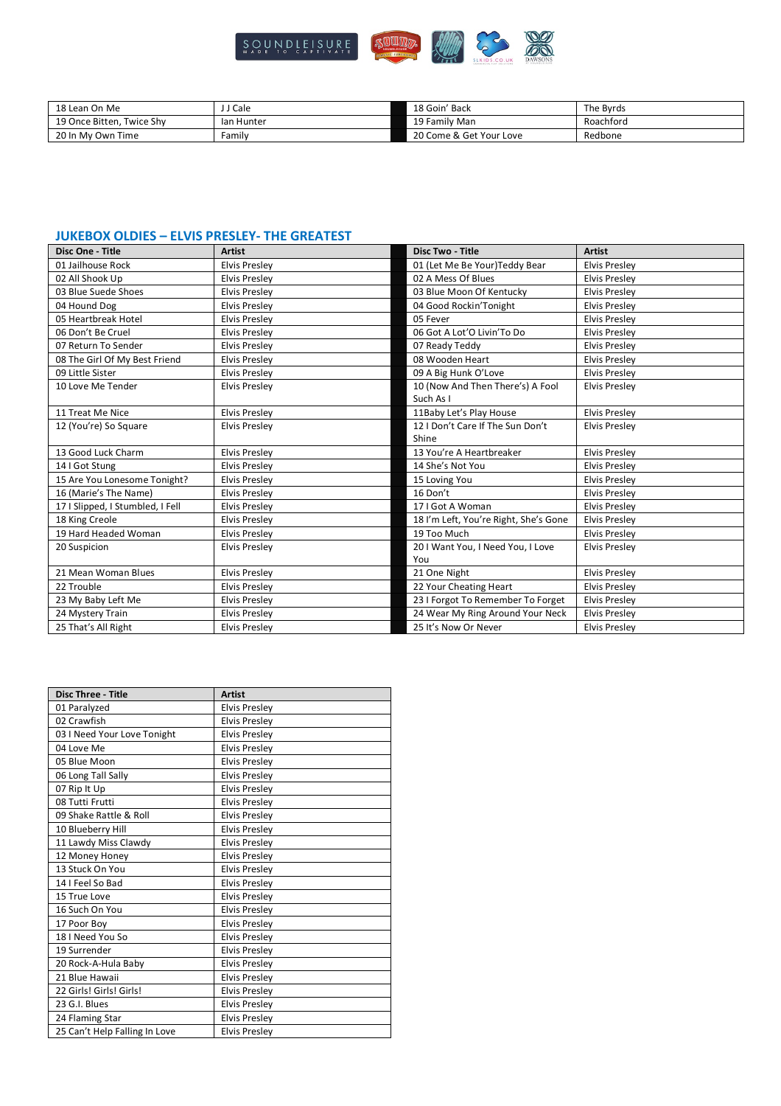

| 18 Lean On Me             | <b>Cale</b> | 18 Goin' Back           | The Byrds |
|---------------------------|-------------|-------------------------|-----------|
| 19 Once Bitten. Twice Shy | lan Hunter  | 19 Family Man           | Roachford |
| 20 In My Own Time         | Familv      | 20 Come & Get Your Love | Redbone   |

#### **JUKEBOX OLDIES – ELVIS PRESLEY- THE GREATEST**

| Disc One - Title                 | <b>Artist</b>        | Disc Two - Title                      | <b>Artist</b>        |
|----------------------------------|----------------------|---------------------------------------|----------------------|
| 01 Jailhouse Rock                | <b>Elvis Presley</b> | 01 (Let Me Be Your) Teddy Bear        | <b>Elvis Presley</b> |
| 02 All Shook Up                  | <b>Elvis Presley</b> | 02 A Mess Of Blues                    | <b>Elvis Presley</b> |
| 03 Blue Suede Shoes              | <b>Elvis Presley</b> | 03 Blue Moon Of Kentucky              | <b>Elvis Presley</b> |
| 04 Hound Dog                     | <b>Elvis Presley</b> | 04 Good Rockin'Tonight                | <b>Elvis Presley</b> |
| 05 Heartbreak Hotel              | <b>Elvis Presley</b> | 05 Fever                              | <b>Elvis Presley</b> |
| 06 Don't Be Cruel                | <b>Elvis Presley</b> | 06 Got A Lot'O Livin'To Do            | <b>Elvis Presley</b> |
| 07 Return To Sender              | <b>Elvis Presley</b> | 07 Ready Teddy                        | <b>Elvis Presley</b> |
| 08 The Girl Of My Best Friend    | <b>Elvis Presley</b> | 08 Wooden Heart                       | <b>Elvis Presley</b> |
| 09 Little Sister                 | <b>Elvis Presley</b> | 09 A Big Hunk O'Love                  | <b>Elvis Presley</b> |
| 10 Love Me Tender                | <b>Elvis Presley</b> | 10 (Now And Then There's) A Fool      | <b>Elvis Presley</b> |
|                                  |                      | Such As I                             |                      |
| 11 Treat Me Nice                 | <b>Elvis Presley</b> | 11Baby Let's Play House               | <b>Elvis Presley</b> |
| 12 (You're) So Square            | <b>Elvis Presley</b> | 12   Don't Care If The Sun Don't      | <b>Elvis Preslev</b> |
|                                  |                      | Shine                                 |                      |
| 13 Good Luck Charm               | <b>Elvis Presley</b> | 13 You're A Heartbreaker              | <b>Elvis Preslev</b> |
| 14 I Got Stung                   | <b>Elvis Presley</b> | 14 She's Not You                      | <b>Elvis Presley</b> |
| 15 Are You Lonesome Tonight?     | <b>Elvis Preslev</b> | 15 Loving You                         | <b>Elvis Preslev</b> |
| 16 (Marie's The Name)            | <b>Elvis Presley</b> | 16 Don't                              | <b>Elvis Presley</b> |
| 17   Slipped, I Stumbled, I Fell | <b>Elvis Presley</b> | 17   Got A Woman                      | <b>Elvis Presley</b> |
| 18 King Creole                   | <b>Elvis Presley</b> | 18 I'm Left, You're Right, She's Gone | <b>Elvis Presley</b> |
| 19 Hard Headed Woman             | <b>Elvis Presley</b> | 19 Too Much                           | <b>Elvis Presley</b> |
| 20 Suspicion                     | <b>Elvis Presley</b> | 20 I Want You, I Need You, I Love     | <b>Elvis Presley</b> |
|                                  |                      | You                                   |                      |
| 21 Mean Woman Blues              | <b>Elvis Presley</b> | 21 One Night                          | <b>Elvis Presley</b> |
| 22 Trouble                       | <b>Elvis Presley</b> | 22 Your Cheating Heart                | <b>Elvis Presley</b> |
| 23 My Baby Left Me               | <b>Elvis Presley</b> | 23 I Forgot To Remember To Forget     | <b>Elvis Presley</b> |
| 24 Mystery Train                 | <b>Elvis Presley</b> | 24 Wear My Ring Around Your Neck      | <b>Elvis Presley</b> |
| 25 That's All Right              | <b>Elvis Presley</b> | 25 It's Now Or Never                  | <b>Elvis Presley</b> |

| Disc Three - Title            | <b>Artist</b>        |
|-------------------------------|----------------------|
| 01 Paralyzed                  | <b>Elvis Presley</b> |
| 02 Crawfish                   | <b>Elvis Presley</b> |
| 03 I Need Your Love Tonight   | <b>Elvis Presley</b> |
| 04 Love Me                    | <b>Elvis Presley</b> |
| 05 Blue Moon                  | <b>Elvis Presley</b> |
| 06 Long Tall Sally            | <b>Elvis Presley</b> |
| 07 Rip It Up                  | <b>Elvis Presley</b> |
| 08 Tutti Frutti               | <b>Elvis Presley</b> |
| 09 Shake Rattle & Roll        | <b>Elvis Presley</b> |
| 10 Blueberry Hill             | <b>Elvis Presley</b> |
| 11 Lawdy Miss Clawdy          | <b>Elvis Preslev</b> |
| 12 Money Honey                | <b>Elvis Presley</b> |
| 13 Stuck On You               | <b>Elvis Presley</b> |
| 14   Feel So Bad              | <b>Elvis Presley</b> |
| 15 True Love                  | <b>Elvis Presley</b> |
| 16 Such On You                | <b>Elvis Presley</b> |
| 17 Poor Boy                   | <b>Elvis Presley</b> |
| 18   Need You So              | <b>Elvis Presley</b> |
| 19 Surrender                  | <b>Elvis Presley</b> |
| 20 Rock-A-Hula Baby           | <b>Elvis Presley</b> |
| 21 Blue Hawaii                | <b>Elvis Presley</b> |
| 22 Girls! Girls! Girls!       | <b>Elvis Presley</b> |
| 23 G.I. Blues                 | <b>Elvis Presley</b> |
| 24 Flaming Star               | <b>Elvis Presley</b> |
| 25 Can't Help Falling In Love | <b>Elvis Presley</b> |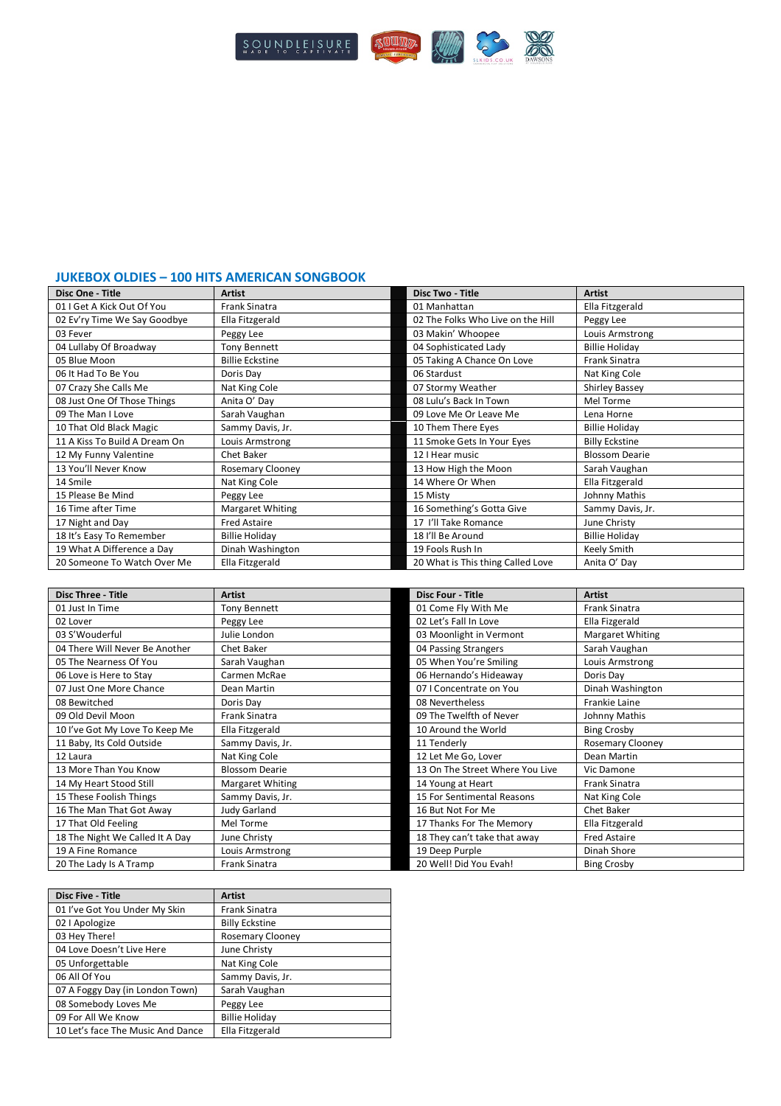

#### **JUKEBOX OLDIES – 100 HITS AMERICAN SONGBOOK**

| Disc One - Title              | <b>Artist</b>           | <b>Disc Two - Title</b>           | <b>Artist</b>         |
|-------------------------------|-------------------------|-----------------------------------|-----------------------|
| 01   Get A Kick Out Of You    | <b>Frank Sinatra</b>    | 01 Manhattan                      | Ella Fitzgerald       |
| 02 Ev'ry Time We Say Goodbye  | Ella Fitzgerald         | 02 The Folks Who Live on the Hill | Peggy Lee             |
| 03 Fever                      | Peggy Lee               | 03 Makin' Whoopee                 | Louis Armstrong       |
| 04 Lullaby Of Broadway        | Tony Bennett            | 04 Sophisticated Lady             | <b>Billie Holiday</b> |
| 05 Blue Moon                  | <b>Billie Eckstine</b>  | 05 Taking A Chance On Love        | <b>Frank Sinatra</b>  |
| 06 It Had To Be You           | Doris Day               | 06 Stardust                       | Nat King Cole         |
| 07 Crazy She Calls Me         | Nat King Cole           | 07 Stormy Weather                 | Shirley Bassey        |
| 08 Just One Of Those Things   | Anita O' Day            | 08 Lulu's Back In Town            | Mel Torme             |
| 09 The Man I Love             | Sarah Vaughan           | 09 Love Me Or Leave Me            | Lena Horne            |
| 10 That Old Black Magic       | Sammy Davis, Jr.        | 10 Them There Eyes                | <b>Billie Holiday</b> |
| 11 A Kiss To Build A Dream On | Louis Armstrong         | 11 Smoke Gets In Your Eyes        | <b>Billy Eckstine</b> |
| 12 My Funny Valentine         | Chet Baker              | 12   Hear music                   | <b>Blossom Dearie</b> |
| 13 You'll Never Know          | <b>Rosemary Clooney</b> | 13 How High the Moon              | Sarah Vaughan         |
| 14 Smile                      | Nat King Cole           | 14 Where Or When                  | Ella Fitzgerald       |
| 15 Please Be Mind             | Peggy Lee               | 15 Misty                          | Johnny Mathis         |
| 16 Time after Time            | Margaret Whiting        | 16 Something's Gotta Give         | Sammy Davis, Jr.      |
| 17 Night and Day              | <b>Fred Astaire</b>     | 17 I'll Take Romance              | June Christy          |
| 18 It's Easy To Remember      | <b>Billie Holiday</b>   | 18 I'll Be Around                 | <b>Billie Holiday</b> |
| 19 What A Difference a Day    | Dinah Washington        | 19 Fools Rush In                  | Keely Smith           |
| 20 Someone To Watch Over Me   | Ella Fitzgerald         | 20 What is This thing Called Love | Anita O' Day          |

| <b>Disc Three - Title</b>       | <b>Artist</b>         | <b>Disc Four - Title</b>        | <b>Artist</b>        |
|---------------------------------|-----------------------|---------------------------------|----------------------|
| 01 Just In Time                 | <b>Tony Bennett</b>   | 01 Come Fly With Me             | <b>Frank Sinatra</b> |
| 02 Lover                        | Peggy Lee             | 02 Let's Fall In Love           | Ella Fizgerald       |
| 03 S'Wouderful                  | Julie London          | 03 Moonlight in Vermont         | Margaret Whiting     |
| 04 There Will Never Be Another  | Chet Baker            | 04 Passing Strangers            | Sarah Vaughan        |
| 05 The Nearness Of You          | Sarah Vaughan         | 05 When You're Smiling          | Louis Armstrong      |
| 06 Love is Here to Stay         | Carmen McRae          | 06 Hernando's Hideaway          | Doris Day            |
| 07 Just One More Chance         | Dean Martin           | 07   Concentrate on You         | Dinah Washington     |
| 08 Bewitched                    | Doris Day             | 08 Nevertheless                 | <b>Frankie Laine</b> |
| 09 Old Devil Moon               | <b>Frank Sinatra</b>  | 09 The Twelfth of Never         | Johnny Mathis        |
| 10 I've Got My Love To Keep Me  | Ella Fitzgerald       | 10 Around the World             | <b>Bing Crosby</b>   |
| 11 Baby, Its Cold Outside       | Sammy Davis, Jr.      | 11 Tenderly                     | Rosemary Clooney     |
| 12 Laura                        | Nat King Cole         | 12 Let Me Go, Lover             | Dean Martin          |
| 13 More Than You Know           | <b>Blossom Dearie</b> | 13 On The Street Where You Live | Vic Damone           |
| 14 My Heart Stood Still         | Margaret Whiting      | 14 Young at Heart               | Frank Sinatra        |
| 15 These Foolish Things         | Sammy Davis, Jr.      | 15 For Sentimental Reasons      | Nat King Cole        |
| 16 The Man That Got Away        | <b>Judy Garland</b>   | 16 But Not For Me               | Chet Baker           |
| 17 That Old Feeling             | Mel Torme             | 17 Thanks For The Memory        | Ella Fitzgerald      |
| 18 The Night We Called It A Day | June Christy          | 18 They can't take that away    | <b>Fred Astaire</b>  |
| 19 A Fine Romance               | Louis Armstrong       | 19 Deep Purple                  | Dinah Shore          |
| 20 The Lady Is A Tramp          | <b>Frank Sinatra</b>  | 20 Well! Did You Evah!          | <b>Bing Crosby</b>   |

| <b>Disc Five - Title</b>          | <b>Artist</b>           |
|-----------------------------------|-------------------------|
| 01 I've Got You Under My Skin     | Frank Sinatra           |
| 02   Apologize                    | <b>Billy Eckstine</b>   |
| 03 Hey There!                     | <b>Rosemary Clooney</b> |
| 04 Love Doesn't Live Here         | June Christy            |
| 05 Unforgettable                  | Nat King Cole           |
| 06 All Of You                     | Sammy Davis, Jr.        |
| 07 A Foggy Day (in London Town)   | Sarah Vaughan           |
| 08 Somebody Loves Me              | Peggy Lee               |
| 09 For All We Know                | <b>Billie Holiday</b>   |
| 10 Let's face The Music And Dance | Ella Fitzgerald         |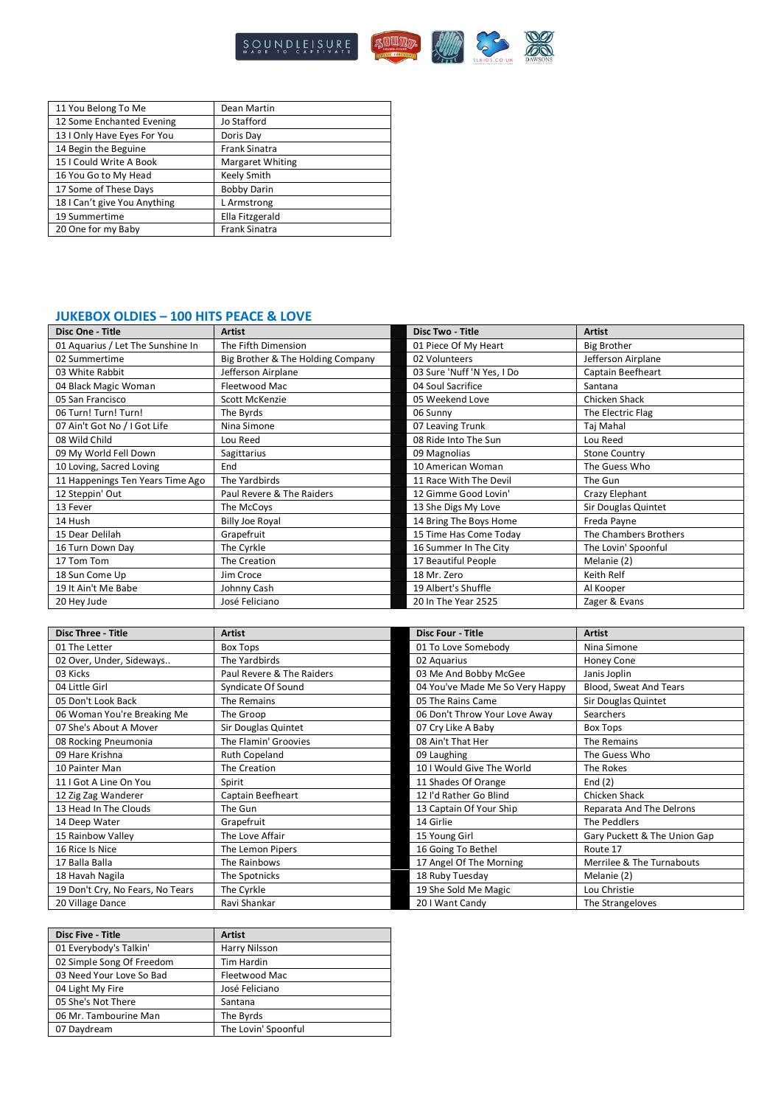

| 11 You Belong To Me          | Dean Martin             |
|------------------------------|-------------------------|
| 12 Some Enchanted Evening    | Jo Stafford             |
| 13   Only Have Eyes For You  | Doris Day               |
| 14 Begin the Beguine         | <b>Frank Sinatra</b>    |
| 15   Could Write A Book      | <b>Margaret Whiting</b> |
| 16 You Go to My Head         | Keely Smith             |
| 17 Some of These Days        | <b>Bobby Darin</b>      |
| 18   Can't give You Anything | L Armstrong             |
| 19 Summertime                | Ella Fitzgerald         |
| 20 One for my Baby           | <b>Frank Sinatra</b>    |

## **JUKEBOX OLDIES – 100 HITS PEACE & LOVE**

| Disc One - Title                  | <b>Artist</b>                     | <b>Disc Two - Title</b>    | <b>Artist</b>         |
|-----------------------------------|-----------------------------------|----------------------------|-----------------------|
| 01 Aquarius / Let The Sunshine In | The Fifth Dimension               | 01 Piece Of My Heart       | <b>Big Brother</b>    |
| 02 Summertime                     | Big Brother & The Holding Company | 02 Volunteers              | Jefferson Airplane    |
| 03 White Rabbit                   | Jefferson Airplane                | 03 Sure 'Nuff 'N Yes, I Do | Captain Beefheart     |
| 04 Black Magic Woman              | Fleetwood Mac                     | 04 Soul Sacrifice          | Santana               |
| 05 San Francisco                  | Scott McKenzie                    | 05 Weekend Love            | Chicken Shack         |
| 06 Turn! Turn! Turn!              | The Byrds                         | 06 Sunny                   | The Electric Flag     |
| 07 Ain't Got No / I Got Life      | Nina Simone                       | 07 Leaving Trunk           | Taj Mahal             |
| 08 Wild Child                     | Lou Reed                          | 08 Ride Into The Sun       | Lou Reed              |
| 09 My World Fell Down             | Sagittarius                       | 09 Magnolias               | <b>Stone Country</b>  |
| 10 Loving, Sacred Loving          | End                               | 10 American Woman          | The Guess Who         |
| 11 Happenings Ten Years Time Ago  | The Yardbirds                     | 11 Race With The Devil     | The Gun               |
| 12 Steppin' Out                   | Paul Revere & The Raiders         | 12 Gimme Good Lovin'       | Crazy Elephant        |
| 13 Fever                          | The McCoys                        | 13 She Digs My Love        | Sir Douglas Quintet   |
| 14 Hush                           | <b>Billy Joe Royal</b>            | 14 Bring The Boys Home     | Freda Payne           |
| 15 Dear Delilah                   | Grapefruit                        | 15 Time Has Come Today     | The Chambers Brothers |
| 16 Turn Down Day                  | The Cyrkle                        | 16 Summer In The City      | The Lovin' Spoonful   |
| 17 Tom Tom                        | The Creation                      | 17 Beautiful People        | Melanie (2)           |
| 18 Sun Come Up                    | Jim Croce                         | 18 Mr. Zero                | Keith Relf            |
| 19 It Ain't Me Babe               | Johnny Cash                       | 19 Albert's Shuffle        | Al Kooper             |
| 20 Hey Jude                       | José Feliciano                    | 20 In The Year 2525        | Zager & Evans         |

| <b>Disc Three - Title</b>        | <b>Artist</b>             | <b>Disc Four - Title</b>        | <b>Artist</b>                |
|----------------------------------|---------------------------|---------------------------------|------------------------------|
| 01 The Letter                    | <b>Box Tops</b>           | 01 To Love Somebody             | Nina Simone                  |
| 02 Over, Under, Sideways         | The Yardbirds             | 02 Aquarius                     | Honey Cone                   |
| 03 Kicks                         | Paul Revere & The Raiders | 03 Me And Bobby McGee           | Janis Joplin                 |
| 04 Little Girl                   | Syndicate Of Sound        | 04 You've Made Me So Very Happy | Blood, Sweat And Tears       |
| 05 Don't Look Back               | The Remains               | 05 The Rains Came               | Sir Douglas Quintet          |
| 06 Woman You're Breaking Me      | The Groop                 | 06 Don't Throw Your Love Away   | <b>Searchers</b>             |
| 07 She's About A Mover           | Sir Douglas Quintet       | 07 Cry Like A Baby              | Box Tops                     |
| 08 Rocking Pneumonia             | The Flamin' Groovies      | 08 Ain't That Her               | The Remains                  |
| 09 Hare Krishna                  | <b>Ruth Copeland</b>      | 09 Laughing                     | The Guess Who                |
| 10 Painter Man                   | The Creation              | 10 I Would Give The World       | The Rokes                    |
| 11 I Got A Line On You           | Spirit                    | 11 Shades Of Orange             | End $(2)$                    |
| 12 Zig Zag Wanderer              | Captain Beefheart         | 12 I'd Rather Go Blind          | Chicken Shack                |
| 13 Head In The Clouds            | The Gun                   | 13 Captain Of Your Ship         | Reparata And The Delrons     |
| 14 Deep Water                    | Grapefruit                | 14 Girlie                       | The Peddlers                 |
| 15 Rainbow Valley                | The Love Affair           | 15 Young Girl                   | Gary Puckett & The Union Gap |
| 16 Rice Is Nice                  | The Lemon Pipers          | 16 Going To Bethel              | Route 17                     |
| 17 Balla Balla                   | The Rainbows              | 17 Angel Of The Morning         | Merrilee & The Turnabouts    |
| 18 Havah Nagila                  | The Spotnicks             | 18 Ruby Tuesday                 | Melanie (2)                  |
| 19 Don't Cry, No Fears, No Tears | The Cyrkle                | 19 She Sold Me Magic            | Lou Christie                 |
| 20 Village Dance                 | Ravi Shankar              | 20 I Want Candy                 | The Strangeloves             |

| <b>Disc Five - Title</b>  | <b>Artist</b>       |
|---------------------------|---------------------|
| 01 Everybody's Talkin'    | Harry Nilsson       |
| 02 Simple Song Of Freedom | <b>Tim Hardin</b>   |
| 03 Need Your Love So Bad  | Fleetwood Mac       |
| 04 Light My Fire          | José Feliciano      |
| 05 She's Not There        | Santana             |
| 06 Mr. Tambourine Man     | The Byrds           |
| 07 Daydream               | The Lovin' Spoonful |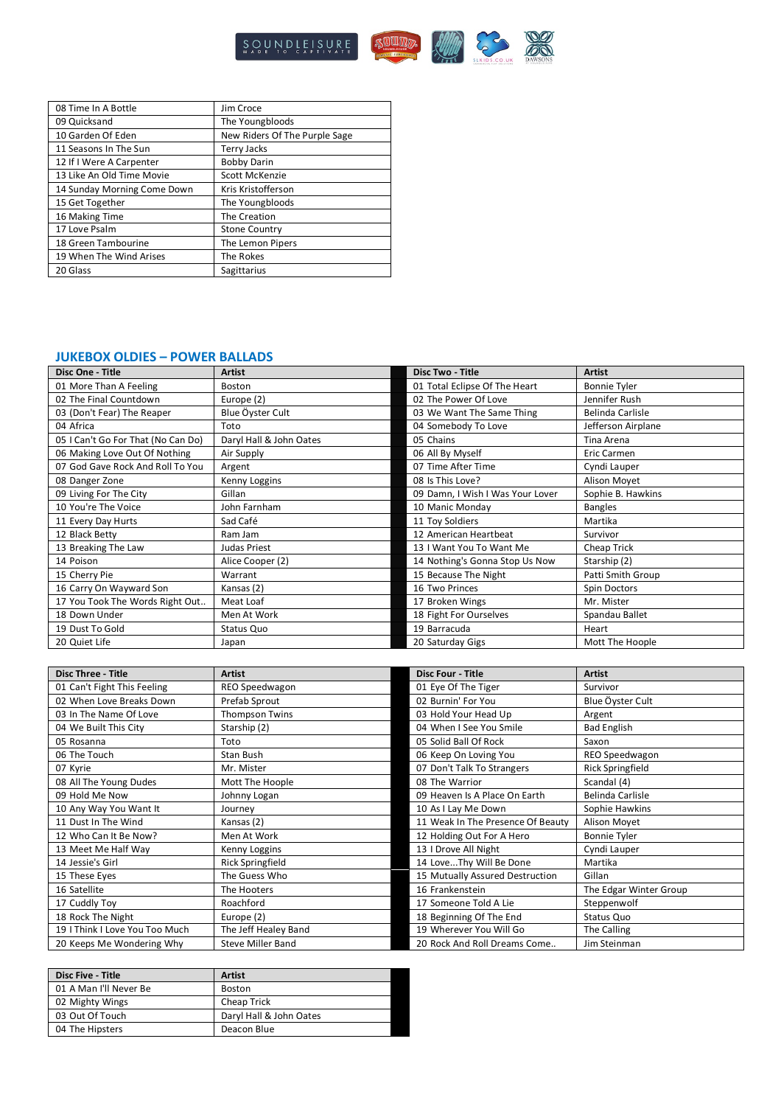

| 08 Time In A Bottle         | Jim Croce                     |
|-----------------------------|-------------------------------|
| 09 Quicksand                | The Youngbloods               |
| 10 Garden Of Eden           | New Riders Of The Purple Sage |
| 11 Seasons In The Sun       | <b>Terry Jacks</b>            |
| 12 If I Were A Carpenter    | <b>Bobby Darin</b>            |
| 13 Like An Old Time Movie   | Scott McKenzie                |
| 14 Sunday Morning Come Down | Kris Kristofferson            |
| 15 Get Together             | The Youngbloods               |
| 16 Making Time              | The Creation                  |
| 17 Love Psalm               | <b>Stone Country</b>          |
| 18 Green Tambourine         | The Lemon Pipers              |
| 19 When The Wind Arises     | The Rokes                     |
| 20 Glass                    | Sagittarius                   |

### **JUKEBOX OLDIES – POWER BALLADS**

| Disc One - Title                   | <b>Artist</b>           | <b>Disc Two - Title</b>          | <b>Artist</b>       |
|------------------------------------|-------------------------|----------------------------------|---------------------|
| 01 More Than A Feeling             | Boston                  | 01 Total Eclipse Of The Heart    | <b>Bonnie Tyler</b> |
| 02 The Final Countdown             | Europe (2)              | 02 The Power Of Love             | Jennifer Rush       |
| 03 (Don't Fear) The Reaper         | Blue Öyster Cult        | 03 We Want The Same Thing        | Belinda Carlisle    |
| 04 Africa                          | Toto                    | 04 Somebody To Love              | Jefferson Airplane  |
| 05   Can't Go For That (No Can Do) | Daryl Hall & John Oates | 05 Chains                        | Tina Arena          |
| 06 Making Love Out Of Nothing      | Air Supply              | 06 All By Myself                 | <b>Eric Carmen</b>  |
| 07 God Gave Rock And Roll To You   | Argent                  | 07 Time After Time               | Cyndi Lauper        |
| 08 Danger Zone                     | Kenny Loggins           | 08 Is This Love?                 | Alison Movet        |
| 09 Living For The City             | Gillan                  | 09 Damn, I Wish I Was Your Lover | Sophie B. Hawkins   |
| 10 You're The Voice                | John Farnham            | 10 Manic Monday                  | <b>Bangles</b>      |
| 11 Every Day Hurts                 | Sad Café                | 11 Toy Soldiers                  | Martika             |
| 12 Black Betty                     | Ram Jam                 | 12 American Heartbeat            | Survivor            |
| 13 Breaking The Law                | Judas Priest            | 13 I Want You To Want Me         | Cheap Trick         |
| 14 Poison                          | Alice Cooper (2)        | 14 Nothing's Gonna Stop Us Now   | Starship (2)        |
| 15 Cherry Pie                      | Warrant                 | 15 Because The Night             | Patti Smith Group   |
| 16 Carry On Wayward Son            | Kansas (2)              | 16 Two Princes                   | Spin Doctors        |
| 17 You Took The Words Right Out    | Meat Loaf               | 17 Broken Wings                  | Mr. Mister          |
| 18 Down Under                      | Men At Work             | 18 Fight For Ourselves           | Spandau Ballet      |
| 19 Dust To Gold                    | Status Quo              | 19 Barracuda                     | Heart               |
| 20 Quiet Life                      | Japan                   | 20 Saturday Gigs                 | Mott The Hoople     |

| <b>Disc Three - Title</b>      | <b>Artist</b>            | <b>Disc Four - Title</b>          | <b>Artist</b>           |
|--------------------------------|--------------------------|-----------------------------------|-------------------------|
| 01 Can't Fight This Feeling    | REO Speedwagon           | 01 Eye Of The Tiger               | Survivor                |
| 02 When Love Breaks Down       | Prefab Sprout            | 02 Burnin' For You                | Blue Öyster Cult        |
| 03 In The Name Of Love         | <b>Thompson Twins</b>    | 03 Hold Your Head Up              | Argent                  |
| 04 We Built This City          | Starship (2)             | 04 When I See You Smile           | <b>Bad English</b>      |
| 05 Rosanna                     | Toto                     | 05 Solid Ball Of Rock             | Saxon                   |
| 06 The Touch                   | Stan Bush                | 06 Keep On Loving You             | REO Speedwagon          |
| 07 Kyrie                       | Mr. Mister               | 07 Don't Talk To Strangers        | <b>Rick Springfield</b> |
| 08 All The Young Dudes         | Mott The Hoople          | 08 The Warrior                    | Scandal (4)             |
| 09 Hold Me Now                 | Johnny Logan             | 09 Heaven Is A Place On Earth     | Belinda Carlisle        |
| 10 Any Way You Want It         | Journey                  | 10 As I Lay Me Down               | Sophie Hawkins          |
| 11 Dust In The Wind            | Kansas (2)               | 11 Weak In The Presence Of Beauty | Alison Moyet            |
| 12 Who Can It Be Now?          | Men At Work              | 12 Holding Out For A Hero         | <b>Bonnie Tyler</b>     |
| 13 Meet Me Half Way            | Kenny Loggins            | 13   Drove All Night              | Cyndi Lauper            |
| 14 Jessie's Girl               | Rick Springfield         | 14 LoveThy Will Be Done           | Martika                 |
| 15 These Eyes                  | The Guess Who            | 15 Mutually Assured Destruction   | Gillan                  |
| 16 Satellite                   | The Hooters              | 16 Frankenstein                   | The Edgar Winter Group  |
| 17 Cuddly Toy                  | Roachford                | 17 Someone Told A Lie             | Steppenwolf             |
| 18 Rock The Night              | Europe (2)               | 18 Beginning Of The End           | Status Quo              |
| 19   Think   Love You Too Much | The Jeff Healey Band     | 19 Wherever You Will Go           | The Calling             |
| 20 Keeps Me Wondering Why      | <b>Steve Miller Band</b> | 20 Rock And Roll Dreams Come      | Jim Steinman            |

| <b>Disc Five - Title</b> | <b>Artist</b>           |
|--------------------------|-------------------------|
| 01 A Man I'll Never Be   | <b>Boston</b>           |
| 02 Mighty Wings          | Cheap Trick             |
| 03 Out Of Touch          | Daryl Hall & John Oates |
| 04 The Hipsters          | Deacon Blue             |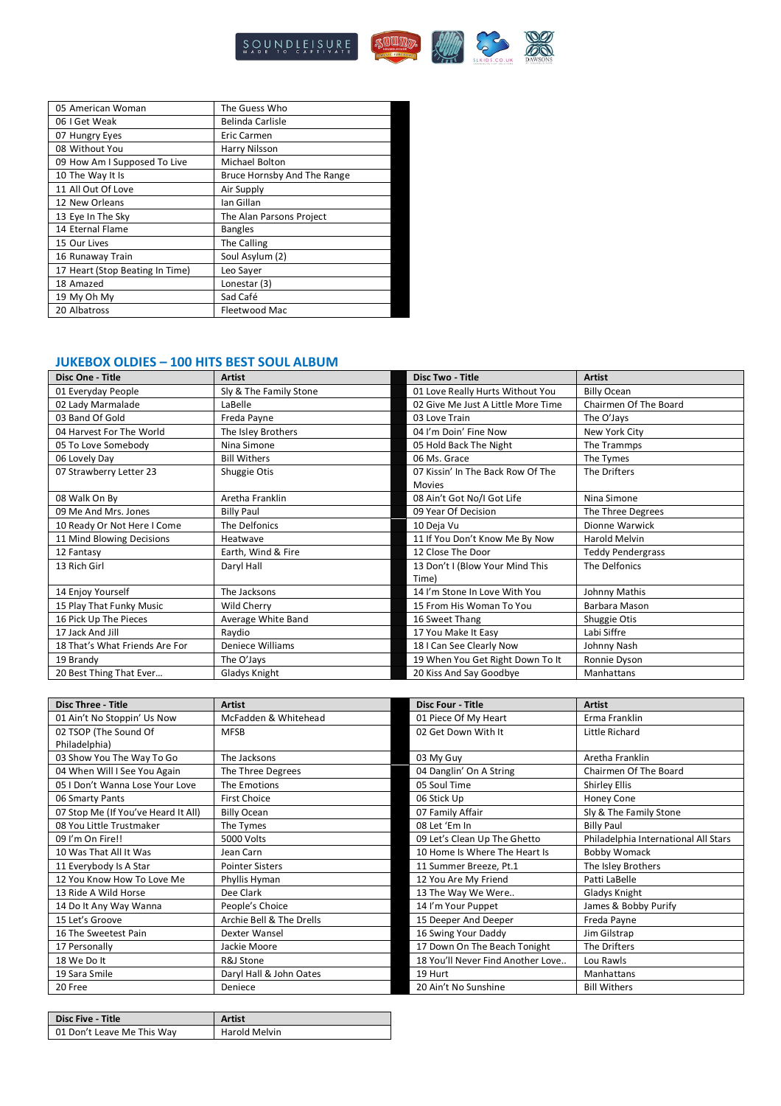

| 05 American Woman               | The Guess Who               |
|---------------------------------|-----------------------------|
| 06 I Get Weak                   | <b>Belinda Carlisle</b>     |
| 07 Hungry Eyes                  | Eric Carmen                 |
| 08 Without You                  | Harry Nilsson               |
| 09 How Am I Supposed To Live    | Michael Bolton              |
| 10 The Way It Is                | Bruce Hornsby And The Range |
| 11 All Out Of Love              | Air Supply                  |
| 12 New Orleans                  | lan Gillan                  |
| 13 Eye In The Sky               | The Alan Parsons Project    |
| 14 Eternal Flame                | <b>Bangles</b>              |
| 15 Our Lives                    | The Calling                 |
| 16 Runaway Train                | Soul Asylum (2)             |
| 17 Heart (Stop Beating In Time) | Leo Sayer                   |
| 18 Amazed                       | Lonestar (3)                |
| 19 My Oh My                     | Sad Café                    |
| 20 Albatross                    | Fleetwood Mac               |

#### **JUKEBOX OLDIES – 100 HITS BEST SOUL ALBUM**

| Disc One - Title               | <b>Artist</b>          | <b>Disc Two - Title</b>            | <b>Artist</b>            |
|--------------------------------|------------------------|------------------------------------|--------------------------|
| 01 Everyday People             | Sly & The Family Stone | 01 Love Really Hurts Without You   | <b>Billy Ocean</b>       |
| 02 Lady Marmalade              | LaBelle                | 02 Give Me Just A Little More Time | Chairmen Of The Board    |
| 03 Band Of Gold                | Freda Payne            | 03 Love Train                      | The O'Jays               |
| 04 Harvest For The World       | The Isley Brothers     | 04 I'm Doin' Fine Now              | New York City            |
| 05 To Love Somebody            | Nina Simone            | 05 Hold Back The Night             | The Trammps              |
| 06 Lovely Day                  | <b>Bill Withers</b>    | 06 Ms. Grace                       | The Tymes                |
| 07 Strawberry Letter 23        | Shuggie Otis           | 07 Kissin' In The Back Row Of The  | The Drifters             |
|                                |                        | <b>Movies</b>                      |                          |
| 08 Walk On By                  | Aretha Franklin        | 08 Ain't Got No/I Got Life         | Nina Simone              |
| 09 Me And Mrs. Jones           | <b>Billy Paul</b>      | 09 Year Of Decision                | The Three Degrees        |
| 10 Ready Or Not Here I Come    | The Delfonics          | 10 Deja Vu                         | Dionne Warwick           |
| 11 Mind Blowing Decisions      | Heatwave               | 11 If You Don't Know Me By Now     | <b>Harold Melvin</b>     |
| 12 Fantasy                     | Earth, Wind & Fire     | 12 Close The Door                  | <b>Teddy Pendergrass</b> |
| 13 Rich Girl                   | Daryl Hall             | 13 Don't I (Blow Your Mind This    | The Delfonics            |
|                                |                        | Time)                              |                          |
| 14 Enjoy Yourself              | The Jacksons           | 14 I'm Stone In Love With You      | Johnny Mathis            |
| 15 Play That Funky Music       | Wild Cherry            | 15 From His Woman To You           | Barbara Mason            |
| 16 Pick Up The Pieces          | Average White Band     | 16 Sweet Thang                     | Shuggie Otis             |
| 17 Jack And Jill               | Raydio                 | 17 You Make It Easy                | Labi Siffre              |
| 18 That's What Friends Are For | Deniece Williams       | 18 I Can See Clearly Now           | Johnny Nash              |
| 19 Brandy                      | The O'Jays             | 19 When You Get Right Down To It   | Ronnie Dyson             |
| 20 Best Thing That Ever        | Gladys Knight          | 20 Kiss And Say Goodbye            | Manhattans               |

| <b>Disc Three - Title</b>           | <b>Artist</b>            | <b>Disc Four - Title</b>          | <b>Artist</b>                        |
|-------------------------------------|--------------------------|-----------------------------------|--------------------------------------|
| 01 Ain't No Stoppin' Us Now         | McFadden & Whitehead     | 01 Piece Of My Heart              | Erma Franklin                        |
| 02 TSOP (The Sound Of               | <b>MFSB</b>              | 02 Get Down With It               | Little Richard                       |
| Philadelphia)                       |                          |                                   |                                      |
| 03 Show You The Way To Go           | The Jacksons             | 03 My Guy                         | Aretha Franklin                      |
| 04 When Will I See You Again        | The Three Degrees        | 04 Danglin' On A String           | Chairmen Of The Board                |
| 05   Don't Wanna Lose Your Love     | The Emotions             | 05 Soul Time                      | <b>Shirley Ellis</b>                 |
| 06 Smarty Pants                     | <b>First Choice</b>      | 06 Stick Up                       | Honey Cone                           |
| 07 Stop Me (If You've Heard It All) | <b>Billy Ocean</b>       | 07 Family Affair                  | Sly & The Family Stone               |
| 08 You Little Trustmaker            | The Tymes                | 08 Let 'Em In                     | <b>Billy Paul</b>                    |
| 09 I'm On Fire!!                    | 5000 Volts               | 09 Let's Clean Up The Ghetto      | Philadelphia International All Stars |
| 10 Was That All It Was              | Jean Carn                | 10 Home Is Where The Heart Is     | <b>Bobby Womack</b>                  |
| 11 Everybody Is A Star              | <b>Pointer Sisters</b>   | 11 Summer Breeze, Pt.1            | The Isley Brothers                   |
| 12 You Know How To Love Me          | Phyllis Hyman            | 12 You Are My Friend              | Patti LaBelle                        |
| 13 Ride A Wild Horse                | Dee Clark                | 13 The Way We Were                | Gladys Knight                        |
| 14 Do It Any Way Wanna              | People's Choice          | 14 I'm Your Puppet                | James & Bobby Purify                 |
| 15 Let's Groove                     | Archie Bell & The Drells | 15 Deeper And Deeper              | Freda Payne                          |
| 16 The Sweetest Pain                | Dexter Wansel            | 16 Swing Your Daddy               | Jim Gilstrap                         |
| 17 Personally                       | Jackie Moore             | 17 Down On The Beach Tonight      | The Drifters                         |
| 18 We Do It                         | R&J Stone                | 18 You'll Never Find Another Love | Lou Rawls                            |
| 19 Sara Smile                       | Daryl Hall & John Oates  | 19 Hurt                           | Manhattans                           |
| 20 Free                             | Deniece                  | 20 Ain't No Sunshine              | <b>Bill Withers</b>                  |

| <b>Disc Five - Title</b>   | Artist        |
|----------------------------|---------------|
| 01 Don't Leave Me This Way | Harold Melvin |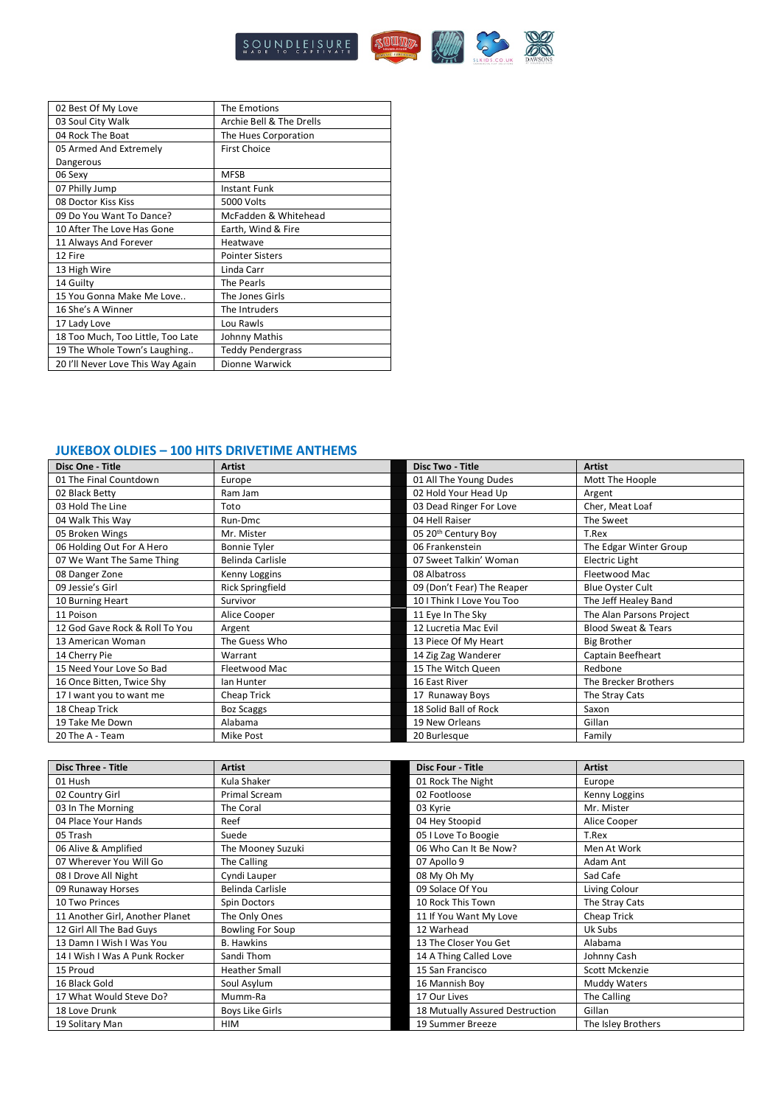

| 02 Best Of My Love                | The Emotions             |
|-----------------------------------|--------------------------|
| 03 Soul City Walk                 | Archie Bell & The Drells |
| 04 Rock The Boat                  | The Hues Corporation     |
| 05 Armed And Extremely            | <b>First Choice</b>      |
| Dangerous                         |                          |
| 06 Sexy                           | <b>MFSB</b>              |
| 07 Philly Jump                    | Instant Funk             |
| 08 Doctor Kiss Kiss               | 5000 Volts               |
| 09 Do You Want To Dance?          | McFadden & Whitehead     |
| 10 After The Love Has Gone        | Earth, Wind & Fire       |
| 11 Always And Forever             | Heatwave                 |
| 12 Fire                           | <b>Pointer Sisters</b>   |
| 13 High Wire                      | Linda Carr               |
| 14 Guilty                         | The Pearls               |
| 15 You Gonna Make Me Love         | The Jones Girls          |
| 16 She's A Winner                 | The Intruders            |
| 17 Lady Love                      | Lou Rawls                |
| 18 Too Much, Too Little, Too Late | Johnny Mathis            |
| 19 The Whole Town's Laughing      | <b>Teddy Pendergrass</b> |
| 20 I'll Never Love This Way Again | Dionne Warwick           |

#### **JUKEBOX OLDIES – 100 HITS DRIVETIME ANTHEMS**

| Disc One - Title               | <b>Artist</b>       | <b>Disc Two - Title</b>         | <b>Artist</b>                  |
|--------------------------------|---------------------|---------------------------------|--------------------------------|
| 01 The Final Countdown         | Europe              | 01 All The Young Dudes          | Mott The Hoople                |
| 02 Black Betty                 | Ram Jam             | 02 Hold Your Head Up            | Argent                         |
| 03 Hold The Line               | Toto                | 03 Dead Ringer For Love         | Cher, Meat Loaf                |
| 04 Walk This Way               | Run-Dmc             | 04 Hell Raiser                  | The Sweet                      |
| 05 Broken Wings                | Mr. Mister          | 05 20 <sup>th</sup> Century Boy | T.Rex                          |
| 06 Holding Out For A Hero      | <b>Bonnie Tyler</b> | 06 Frankenstein                 | The Edgar Winter Group         |
| 07 We Want The Same Thing      | Belinda Carlisle    | 07 Sweet Talkin' Woman          | <b>Electric Light</b>          |
| 08 Danger Zone                 | Kenny Loggins       | 08 Albatross                    | Fleetwood Mac                  |
| 09 Jessie's Girl               | Rick Springfield    | 09 (Don't Fear) The Reaper      | <b>Blue Oyster Cult</b>        |
| 10 Burning Heart               | Survivor            | 10   Think   Love You Too       | The Jeff Healey Band           |
| 11 Poison                      | Alice Cooper        | 11 Eye In The Sky               | The Alan Parsons Project       |
| 12 God Gave Rock & Roll To You | Argent              | 12 Lucretia Mac Evil            | <b>Blood Sweat &amp; Tears</b> |
| 13 American Woman              | The Guess Who       | 13 Piece Of My Heart            | <b>Big Brother</b>             |
| 14 Cherry Pie                  | Warrant             | 14 Zig Zag Wanderer             | Captain Beefheart              |
| 15 Need Your Love So Bad       | Fleetwood Mac       | 15 The Witch Queen              | Redbone                        |
| 16 Once Bitten, Twice Shy      | lan Hunter          | 16 East River                   | The Brecker Brothers           |
| 17 I want you to want me       | Cheap Trick         | 17 Runaway Boys                 | The Stray Cats                 |
| 18 Cheap Trick                 | <b>Boz Scaggs</b>   | 18 Solid Ball of Rock           | Saxon                          |
| 19 Take Me Down                | Alabama             | 19 New Orleans                  | Gillan                         |
| 20 The A - Team                | Mike Post           | 20 Burlesque                    | Family                         |

| <b>Disc Three - Title</b>       | <b>Artist</b>           | <b>Disc Four - Title</b>        | <b>Artist</b>      |
|---------------------------------|-------------------------|---------------------------------|--------------------|
| 01 Hush                         | Kula Shaker             | 01 Rock The Night               | Europe             |
| 02 Country Girl                 | <b>Primal Scream</b>    | 02 Footloose                    | Kenny Loggins      |
| 03 In The Morning               | The Coral               | 03 Kyrie                        | Mr. Mister         |
| 04 Place Your Hands             | Reef                    | 04 Hey Stoopid                  | Alice Cooper       |
| 05 Trash                        | Suede                   | 05 I Love To Boogie             | T.Rex              |
| 06 Alive & Amplified            | The Mooney Suzuki       | 06 Who Can It Be Now?           | Men At Work        |
| 07 Wherever You Will Go         | The Calling             | 07 Apollo 9                     | Adam Ant           |
| 08   Drove All Night            | Cyndi Lauper            | 08 My Oh My                     | Sad Cafe           |
| 09 Runaway Horses               | Belinda Carlisle        | 09 Solace Of You                | Living Colour      |
| 10 Two Princes                  | Spin Doctors            | 10 Rock This Town               | The Stray Cats     |
| 11 Another Girl, Another Planet | The Only Ones           | 11 If You Want My Love          | Cheap Trick        |
| 12 Girl All The Bad Guys        | <b>Bowling For Soup</b> | 12 Warhead                      | Uk Subs            |
| 13 Damn I Wish I Was You        | <b>B.</b> Hawkins       | 13 The Closer You Get           | Alabama            |
| 14 I Wish I Was A Punk Rocker   | Sandi Thom              | 14 A Thing Called Love          | Johnny Cash        |
| 15 Proud                        | <b>Heather Small</b>    | 15 San Francisco                | Scott Mckenzie     |
| 16 Black Gold                   | Soul Asylum             | 16 Mannish Bov                  | Muddy Waters       |
| 17 What Would Steve Do?         | Mumm-Ra                 | 17 Our Lives                    | The Calling        |
| 18 Love Drunk                   | <b>Boys Like Girls</b>  | 18 Mutually Assured Destruction | Gillan             |
| 19 Solitary Man                 | HIM                     | 19 Summer Breeze                | The Isley Brothers |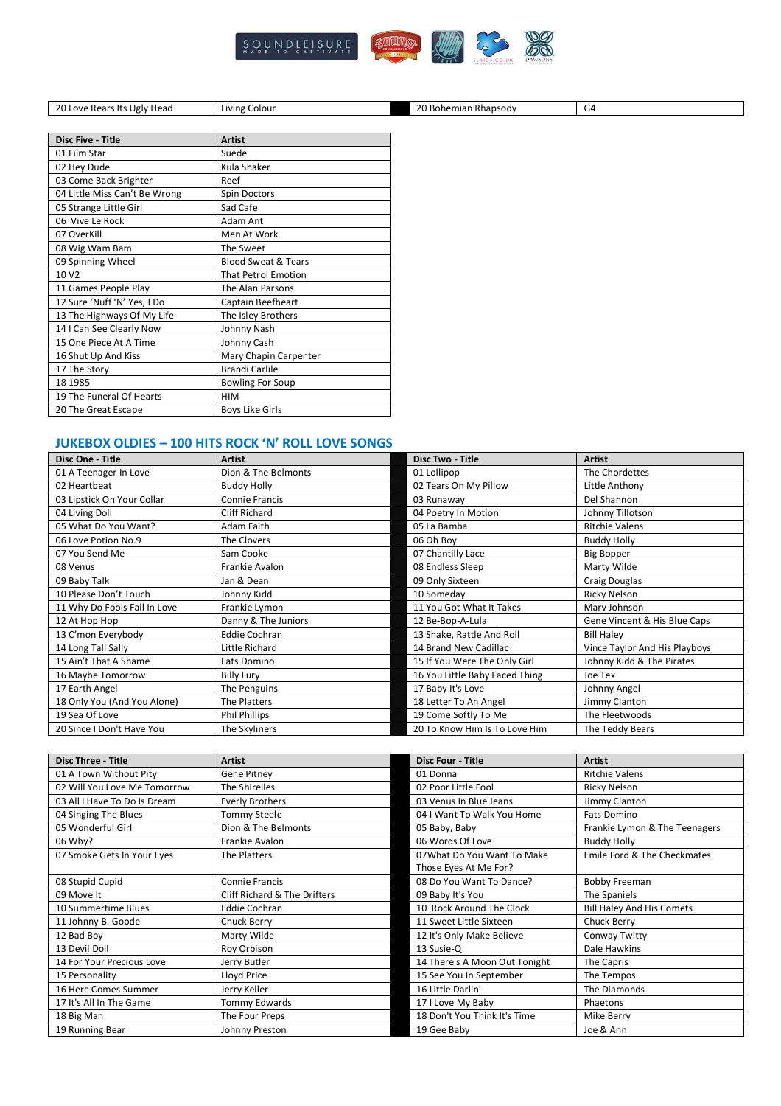

20 Love Rears Its Ugly Head Living Colour 20 Bohemian Rhapsody G4

| <b>Disc Five - Title</b>      | <b>Artist</b>                  |
|-------------------------------|--------------------------------|
| 01 Film Star                  | Suede                          |
| 02 Hey Dude                   | Kula Shaker                    |
| 03 Come Back Brighter         | Reef                           |
| 04 Little Miss Can't Be Wrong | Spin Doctors                   |
| 05 Strange Little Girl        | Sad Cafe                       |
| 06 Vive Le Rock               | Adam Ant                       |
| 07 OverKill                   | Men At Work                    |
| 08 Wig Wam Bam                | The Sweet                      |
| 09 Spinning Wheel             | <b>Blood Sweat &amp; Tears</b> |
| 10 V <sub>2</sub>             | <b>That Petrol Emotion</b>     |
| 11 Games People Play          | The Alan Parsons               |
| 12 Sure 'Nuff 'N' Yes, I Do   | Captain Beefheart              |
| 13 The Highways Of My Life    | The Isley Brothers             |
| 14   Can See Clearly Now      | Johnny Nash                    |
| 15 One Piece At A Time        | Johnny Cash                    |
| 16 Shut Up And Kiss           | Mary Chapin Carpenter          |
| 17 The Story                  | <b>Brandi Carlile</b>          |
| 18 1985                       | <b>Bowling For Soup</b>        |
| 19 The Funeral Of Hearts      | <b>HIM</b>                     |
| 20 The Great Escape           | <b>Boys Like Girls</b>         |

### **JUKEBOX OLDIES – 100 HITS ROCK 'N' ROLL LOVE SONGS**

| Disc One - Title             | <b>Artist</b>         | <b>Disc Two - Title</b>        | <b>Artist</b>                 |
|------------------------------|-----------------------|--------------------------------|-------------------------------|
| 01 A Teenager In Love        | Dion & The Belmonts   | 01 Lollipop                    | The Chordettes                |
| 02 Heartbeat                 | <b>Buddy Holly</b>    | 02 Tears On My Pillow          | Little Anthony                |
| 03 Lipstick On Your Collar   | <b>Connie Francis</b> | 03 Runaway                     | Del Shannon                   |
| 04 Living Doll               | <b>Cliff Richard</b>  | 04 Poetry In Motion            | Johnny Tillotson              |
| 05 What Do You Want?         | Adam Faith            | 05 La Bamba                    | <b>Ritchie Valens</b>         |
| 06 Love Potion No.9          | The Clovers           | 06 Oh Boy                      | <b>Buddy Holly</b>            |
| 07 You Send Me               | Sam Cooke             | 07 Chantilly Lace              | <b>Big Bopper</b>             |
| 08 Venus                     | Frankie Avalon        | 08 Endless Sleep               | Marty Wilde                   |
| 09 Baby Talk                 | Jan & Dean            | 09 Only Sixteen                | Craig Douglas                 |
| 10 Please Don't Touch        | Johnny Kidd           | 10 Someday                     | <b>Ricky Nelson</b>           |
| 11 Why Do Fools Fall In Love | Frankie Lymon         | 11 You Got What It Takes       | Marv Johnson                  |
| 12 At Hop Hop                | Danny & The Juniors   | 12 Be-Bop-A-Lula               | Gene Vincent & His Blue Caps  |
| 13 C'mon Everybody           | <b>Eddie Cochran</b>  | 13 Shake, Rattle And Roll      | <b>Bill Halev</b>             |
| 14 Long Tall Sally           | Little Richard        | 14 Brand New Cadillac          | Vince Taylor And His Playboys |
| 15 Ain't That A Shame        | Fats Domino           | 15 If You Were The Only Girl   | Johnny Kidd & The Pirates     |
| 16 Maybe Tomorrow            | <b>Billy Fury</b>     | 16 You Little Baby Faced Thing | Joe Tex                       |
| 17 Earth Angel               | The Penguins          | 17 Baby It's Love              | Johnny Angel                  |
| 18 Only You (And You Alone)  | The Platters          | 18 Letter To An Angel          | Jimmy Clanton                 |
| 19 Sea Of Love               | Phil Phillips         | 19 Come Softly To Me           | The Fleetwoods                |
| 20 Since I Don't Have You    | The Skyliners         | 20 To Know Him Is To Love Him  | The Teddy Bears               |

| <b>Disc Three - Title</b>    | <b>Artist</b>                | <b>Disc Four - Title</b>      | <b>Artist</b>                    |
|------------------------------|------------------------------|-------------------------------|----------------------------------|
| 01 A Town Without Pity       | Gene Pitney                  | 01 Donna                      | <b>Ritchie Valens</b>            |
| 02 Will You Love Me Tomorrow | The Shirelles                | 02 Poor Little Fool           | Ricky Nelson                     |
| 03 All I Have To Do Is Dream | <b>Everly Brothers</b>       | 03 Venus In Blue Jeans        | Jimmy Clanton                    |
| 04 Singing The Blues         | Tommy Steele                 | 04   Want To Walk You Home    | <b>Fats Domino</b>               |
| 05 Wonderful Girl            | Dion & The Belmonts          | 05 Baby, Baby                 | Frankie Lymon & The Teenagers    |
| 06 Why?                      | Frankie Avalon               | 06 Words Of Love              | <b>Buddy Holly</b>               |
| 07 Smoke Gets In Your Eyes   | The Platters                 | 07 What Do You Want To Make   | Emile Ford & The Checkmates      |
|                              |                              | Those Eyes At Me For?         |                                  |
| 08 Stupid Cupid              | <b>Connie Francis</b>        | 08 Do You Want To Dance?      | Bobby Freeman                    |
| 09 Move It                   | Cliff Richard & The Drifters | 09 Baby It's You              | The Spaniels                     |
| 10 Summertime Blues          | <b>Eddie Cochran</b>         | 10 Rock Around The Clock      | <b>Bill Haley And His Comets</b> |
| 11 Johnny B. Goode           | Chuck Berry                  | 11 Sweet Little Sixteen       | Chuck Berry                      |
| 12 Bad Boy                   | Marty Wilde                  | 12 It's Only Make Believe     | Conway Twitty                    |
| 13 Devil Doll                | Roy Orbison                  | 13 Susie-Q                    | Dale Hawkins                     |
| 14 For Your Precious Love    | Jerry Butler                 | 14 There's A Moon Out Tonight | The Capris                       |
| 15 Personality               | Lloyd Price                  | 15 See You In September       | The Tempos                       |
| 16 Here Comes Summer         | Jerry Keller                 | 16 Little Darlin'             | The Diamonds                     |
| 17 It's All In The Game      | Tommy Edwards                | 17 I Love My Baby             | Phaetons                         |
| 18 Big Man                   | The Four Preps               | 18 Don't You Think It's Time  | Mike Berry                       |
| 19 Running Bear              | Johnny Preston               | 19 Gee Baby                   | Joe & Ann                        |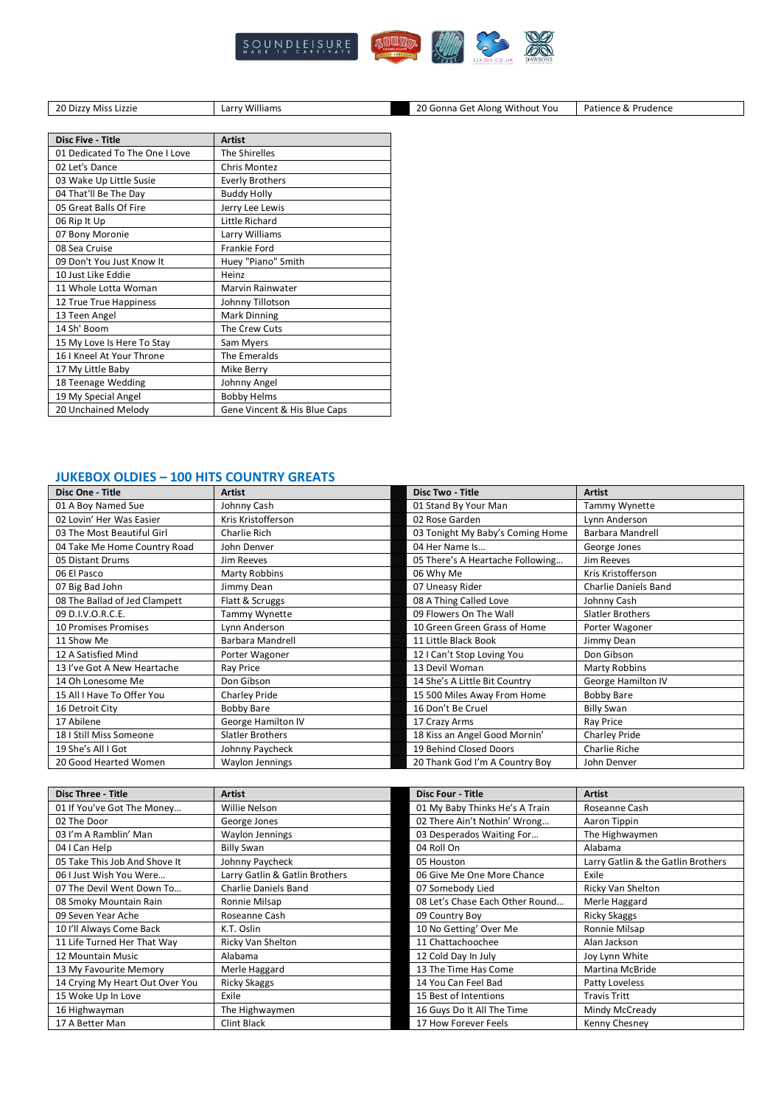

Dizzy Miss Lizzie Larry Williams 20 Gonna Get Along Without You Patience & Prudence

| <b>Disc Five - Title</b>       | <b>Artist</b>                |
|--------------------------------|------------------------------|
| 01 Dedicated To The One I Love | The Shirelles                |
| 02 Let's Dance                 | <b>Chris Montez</b>          |
| 03 Wake Up Little Susie        | <b>Everly Brothers</b>       |
| 04 That'll Be The Day          | <b>Buddy Holly</b>           |
| 05 Great Balls Of Fire         | Jerry Lee Lewis              |
| 06 Rip It Up                   | Little Richard               |
| 07 Bony Moronie                | Larry Williams               |
| 08 Sea Cruise                  | Frankie Ford                 |
| 09 Don't You Just Know It      | Huey "Piano" Smith           |
| 10 Just Like Eddie             | Heinz                        |
| 11 Whole Lotta Woman           | Marvin Rainwater             |
| 12 True True Happiness         | Johnny Tillotson             |
| 13 Teen Angel                  | Mark Dinning                 |
| 14 Sh' Boom                    | The Crew Cuts                |
| 15 My Love Is Here To Stay     | Sam Myers                    |
| 16   Kneel At Your Throne      | The Emeralds                 |
| 17 My Little Baby              | Mike Berry                   |
| 18 Teenage Wedding             | Johnny Angel                 |
| 19 My Special Angel            | <b>Bobby Helms</b>           |
| 20 Unchained Melody            | Gene Vincent & His Blue Caps |

#### **JUKEBOX OLDIES – 100 HITS COUNTRY GREATS**

| Disc One - Title              | <b>Artist</b>        | <b>Disc Two - Title</b>          | <b>Artist</b>        |
|-------------------------------|----------------------|----------------------------------|----------------------|
| 01 A Boy Named Sue            | Johnny Cash          | 01 Stand By Your Man             | Tammy Wynette        |
| 02 Lovin' Her Was Easier      | Kris Kristofferson   | 02 Rose Garden                   | Lynn Anderson        |
| 03 The Most Beautiful Girl    | Charlie Rich         | 03 Tonight My Baby's Coming Home | Barbara Mandrell     |
| 04 Take Me Home Country Road  | John Denver          | 04 Her Name Is                   | George Jones         |
| 05 Distant Drums              | Jim Reeves           | 05 There's A Heartache Following | Jim Reeves           |
| 06 El Pasco                   | <b>Marty Robbins</b> | 06 Why Me                        | Kris Kristofferson   |
| 07 Big Bad John               | Jimmy Dean           | 07 Uneasy Rider                  | Charlie Daniels Band |
| 08 The Ballad of Jed Clampett | Flatt & Scruggs      | 08 A Thing Called Love           | Johnny Cash          |
| 09 D.I.V.O.R.C.E.             | Tammy Wynette        | 09 Flowers On The Wall           | Slatler Brothers     |
| 10 Promises Promises          | Lynn Anderson        | 10 Green Green Grass of Home     | Porter Wagoner       |
| 11 Show Me                    | Barbara Mandrell     | 11 Little Black Book             | Jimmy Dean           |
| 12 A Satisfied Mind           | Porter Wagoner       | 12   Can't Stop Loving You       | Don Gibson           |
| 13 I've Got A New Heartache   | Ray Price            | 13 Devil Woman                   | <b>Marty Robbins</b> |
| 14 Oh Lonesome Me             | Don Gibson           | 14 She's A Little Bit Country    | George Hamilton IV   |
| 15 All I Have To Offer You    | Charley Pride        | 15 500 Miles Away From Home      | Bobby Bare           |
| 16 Detroit City               | <b>Bobby Bare</b>    | 16 Don't Be Cruel                | <b>Billy Swan</b>    |
| 17 Abilene                    | George Hamilton IV   | 17 Crazy Arms                    | Ray Price            |
| 18   Still Miss Someone       | Slatler Brothers     | 18 Kiss an Angel Good Mornin'    | <b>Charley Pride</b> |
| 19 She's All I Got            | Johnny Paycheck      | 19 Behind Closed Doors           | <b>Charlie Riche</b> |
| 20 Good Hearted Women         | Waylon Jennings      | 20 Thank God I'm A Country Boy   | John Denver          |

| <b>Disc Three - Title</b>       | <b>Artist</b>                  | <b>Disc Four - Title</b>        | <b>Artist</b>                      |
|---------------------------------|--------------------------------|---------------------------------|------------------------------------|
| 01 If You've Got The Money      | Willie Nelson                  | 01 My Baby Thinks He's A Train  | Roseanne Cash                      |
| 02 The Door                     | George Jones                   | 02 There Ain't Nothin' Wrong    | Aaron Tippin                       |
| 03 I'm A Ramblin' Man           | Waylon Jennings                | 03 Desperados Waiting For       | The Highwaymen                     |
| 04 I Can Help                   | <b>Billy Swan</b>              | 04 Roll On                      | Alabama                            |
| 05 Take This Job And Shove It   | Johnny Paycheck                | 05 Houston                      | Larry Gatlin & the Gatlin Brothers |
| 06 I Just Wish You Were         | Larry Gatlin & Gatlin Brothers | 06 Give Me One More Chance      | Exile                              |
| 07 The Devil Went Down To       | Charlie Daniels Band           | 07 Somebody Lied                | Ricky Van Shelton                  |
| 08 Smoky Mountain Rain          | Ronnie Milsap                  | 08 Let's Chase Each Other Round | Merle Haggard                      |
| 09 Seven Year Ache              | Roseanne Cash                  | 09 Country Boy                  | <b>Ricky Skaggs</b>                |
| 10 I'll Always Come Back        | K.T. Oslin                     | 10 No Getting' Over Me          | Ronnie Milsap                      |
| 11 Life Turned Her That Way     | Ricky Van Shelton              | 11 Chattachoochee               | Alan Jackson                       |
| 12 Mountain Music               | Alabama                        | 12 Cold Day In July             | Joy Lynn White                     |
| 13 My Favourite Memory          | Merle Haggard                  | 13 The Time Has Come            | <b>Martina McBride</b>             |
| 14 Crying My Heart Out Over You | <b>Ricky Skaggs</b>            | 14 You Can Feel Bad             | Patty Loveless                     |
| 15 Woke Up In Love              | Exile                          | 15 Best of Intentions           | <b>Travis Tritt</b>                |
| 16 Highwayman                   | The Highwaymen                 | 16 Guys Do It All The Time      | Mindy McCready                     |
| 17 A Better Man                 | <b>Clint Black</b>             | 17 How Forever Feels            | Kenny Chesney                      |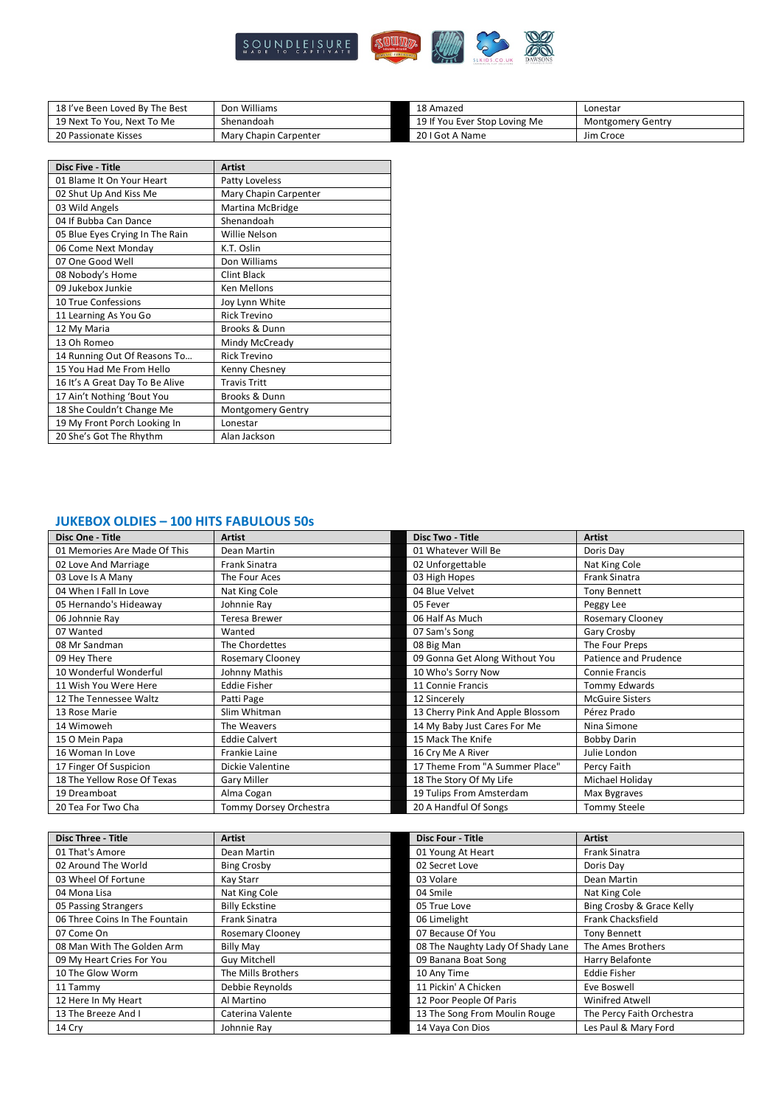

| 18 I've Been Loved By The Best | Don Williams          | 18 Amazed                     | Lonestar                 |
|--------------------------------|-----------------------|-------------------------------|--------------------------|
| 19 Next To You. Next To Me     | Shenandoah            | 19 If You Ever Stop Loving Me | <b>Montgomery Gentry</b> |
| 20 Passionate Kisses           | Mary Chapin Carpenter | 20 I Got A Name               | Jim Croce                |

| <b>Disc Five - Title</b>        | <b>Artist</b>         |
|---------------------------------|-----------------------|
| 01 Blame It On Your Heart       | Patty Loveless        |
| 02 Shut Up And Kiss Me          | Mary Chapin Carpenter |
| 03 Wild Angels                  | Martina McBridge      |
| 04 If Bubba Can Dance           | Shenandoah            |
| 05 Blue Eyes Crying In The Rain | Willie Nelson         |
| 06 Come Next Monday             | K.T. Oslin            |
| 07 One Good Well                | Don Williams          |
| 08 Nobody's Home                | <b>Clint Black</b>    |
| 09 Jukebox Junkie               | <b>Ken Mellons</b>    |
| 10 True Confessions             | Joy Lynn White        |
| 11 Learning As You Go           | <b>Rick Trevino</b>   |
| 12 My Maria                     | Brooks & Dunn         |
| 13 Oh Romeo                     | Mindy McCready        |
| 14 Running Out Of Reasons To    | <b>Rick Trevino</b>   |
| 15 You Had Me From Hello        | Kenny Chesney         |
| 16 It's A Great Day To Be Alive | <b>Travis Tritt</b>   |
| 17 Ain't Nothing 'Bout You      | Brooks & Dunn         |
| 18 She Couldn't Change Me       | Montgomery Gentry     |
| 19 My Front Porch Looking In    | Lonestar              |
| 20 She's Got The Rhythm         | Alan Jackson          |

## **JUKEBOX OLDIES – 100 HITS FABULOUS 50s**

| Disc One - Title             | <b>Artist</b>           | <b>Disc Two - Title</b>          | <b>Artist</b>           |
|------------------------------|-------------------------|----------------------------------|-------------------------|
| 01 Memories Are Made Of This | Dean Martin             | 01 Whatever Will Be              | Doris Day               |
| 02 Love And Marriage         | Frank Sinatra           | 02 Unforgettable                 | Nat King Cole           |
| 03 Love Is A Many            | The Four Aces           | 03 High Hopes                    | Frank Sinatra           |
| 04 When I Fall In Love       | Nat King Cole           | 04 Blue Velvet                   | <b>Tony Bennett</b>     |
| 05 Hernando's Hideaway       | Johnnie Ray             | 05 Fever                         | Peggy Lee               |
| 06 Johnnie Ray               | <b>Teresa Brewer</b>    | 06 Half As Much                  | <b>Rosemary Clooney</b> |
| 07 Wanted                    | Wanted                  | 07 Sam's Song                    | Gary Crosby             |
| 08 Mr Sandman                | The Chordettes          | 08 Big Man                       | The Four Preps          |
| 09 Hey There                 | <b>Rosemary Clooney</b> | 09 Gonna Get Along Without You   | Patience and Prudence   |
| 10 Wonderful Wonderful       | Johnny Mathis           | 10 Who's Sorry Now               | <b>Connie Francis</b>   |
| 11 Wish You Were Here        | <b>Eddie Fisher</b>     | 11 Connie Francis                | Tommy Edwards           |
| 12 The Tennessee Waltz       | Patti Page              | 12 Sincerely                     | <b>McGuire Sisters</b>  |
| 13 Rose Marie                | Slim Whitman            | 13 Cherry Pink And Apple Blossom | Pérez Prado             |
| 14 Wimoweh                   | The Weavers             | 14 My Baby Just Cares For Me     | Nina Simone             |
| 15 O Mein Papa               | <b>Eddie Calvert</b>    | 15 Mack The Knife                | <b>Bobby Darin</b>      |
| 16 Woman In Love             | <b>Frankie Laine</b>    | 16 Cry Me A River                | Julie London            |
| 17 Finger Of Suspicion       | Dickie Valentine        | 17 Theme From "A Summer Place"   | Percy Faith             |
| 18 The Yellow Rose Of Texas  | Gary Miller             | 18 The Story Of My Life          | Michael Holiday         |
| 19 Dreamboat                 | Alma Cogan              | 19 Tulips From Amsterdam         | Max Bygraves            |
| 20 Tea For Two Cha           | Tommy Dorsey Orchestra  | 20 A Handful Of Songs            | <b>Tommy Steele</b>     |

| <b>Disc Three - Title</b>      | <b>Artist</b>           | <b>Disc Four - Title</b>          | <b>Artist</b>             |
|--------------------------------|-------------------------|-----------------------------------|---------------------------|
| 01 That's Amore                | Dean Martin             | 01 Young At Heart                 | <b>Frank Sinatra</b>      |
| 02 Around The World            | <b>Bing Crosby</b>      | 02 Secret Love                    | Doris Dav                 |
| 03 Wheel Of Fortune            | Kay Starr               | 03 Volare                         | Dean Martin               |
| 04 Mona Lisa                   | Nat King Cole           | 04 Smile                          | Nat King Cole             |
| 05 Passing Strangers           | <b>Billy Eckstine</b>   | 05 True Love                      | Bing Crosby & Grace Kelly |
| 06 Three Coins In The Fountain | <b>Frank Sinatra</b>    | 06 Limelight                      | <b>Frank Chacksfield</b>  |
| 07 Come On                     | <b>Rosemary Clooney</b> | 07 Because Of You                 | <b>Tony Bennett</b>       |
| 08 Man With The Golden Arm     | <b>Billy May</b>        | 08 The Naughty Lady Of Shady Lane | The Ames Brothers         |
| 09 My Heart Cries For You      | <b>Guy Mitchell</b>     | 09 Banana Boat Song               | Harry Belafonte           |
| 10 The Glow Worm               | The Mills Brothers      | 10 Any Time                       | <b>Eddie Fisher</b>       |
| 11 Tammy                       | Debbie Reynolds         | 11 Pickin' A Chicken              | Eve Boswell               |
| 12 Here In My Heart            | Al Martino              | 12 Poor People Of Paris           | Winifred Atwell           |
| 13 The Breeze And I            | Caterina Valente        | 13 The Song From Moulin Rouge     | The Percy Faith Orchestra |
| 14 Cry                         | Johnnie Ray             | 14 Vaya Con Dios                  | Les Paul & Mary Ford      |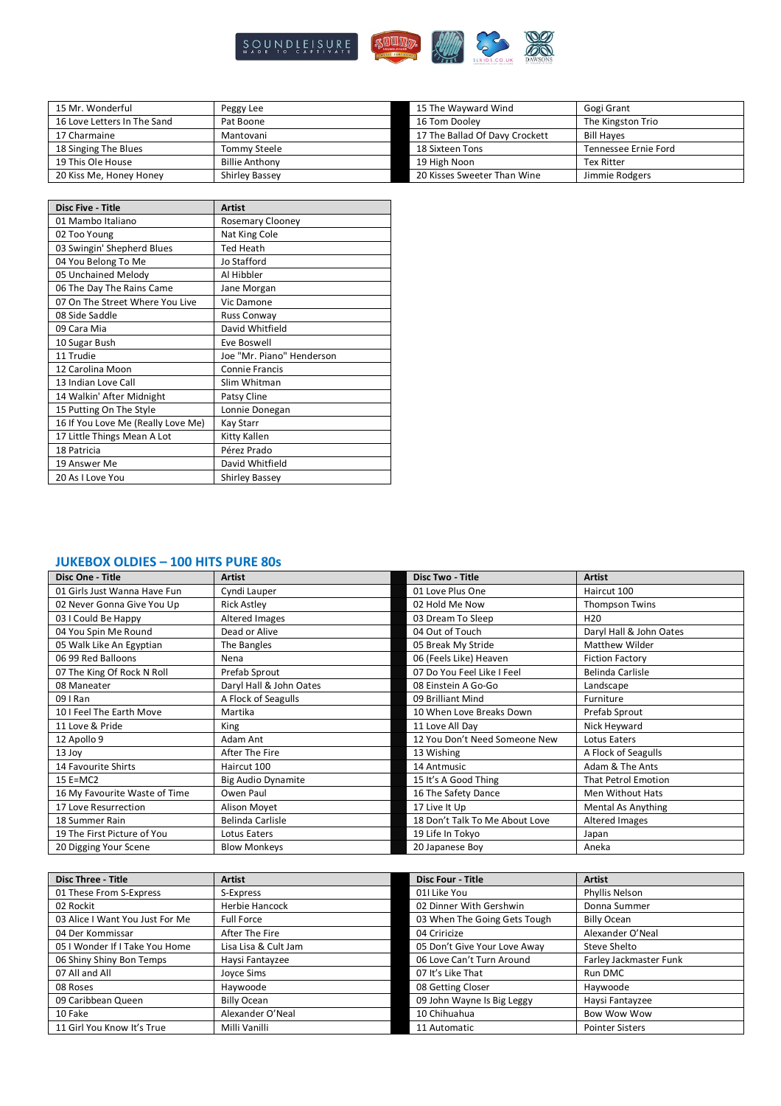

| 15 Mr. Wonderful            | Peggy Lee             | 15 The Wayward Wind            | Gogi Grant           |
|-----------------------------|-----------------------|--------------------------------|----------------------|
| 16 Love Letters In The Sand | Pat Boone             | 16 Tom Dooley                  | The Kingston Trio    |
| 17 Charmaine                | Mantovani             | 17 The Ballad Of Davy Crockett | <b>Bill Haves</b>    |
| 18 Singing The Blues        | Tommy Steele          | 18 Sixteen Tons                | Tennessee Ernie Ford |
| 19 This Ole House           | <b>Billie Anthony</b> | 19 High Noon                   | <b>Tex Ritter</b>    |
| 20 Kiss Me, Honey Honey     | Shirley Bassey        | 20 Kisses Sweeter Than Wine    | Jimmie Rodgers       |

| <b>Disc Five - Title</b>           | <b>Artist</b>             |
|------------------------------------|---------------------------|
| 01 Mambo Italiano                  | <b>Rosemary Clooney</b>   |
| 02 Too Young                       | Nat King Cole             |
| 03 Swingin' Shepherd Blues         | <b>Ted Heath</b>          |
| 04 You Belong To Me                | Jo Stafford               |
| 05 Unchained Melody                | Al Hibbler                |
| 06 The Day The Rains Came          | Jane Morgan               |
| 07 On The Street Where You Live    | Vic Damone                |
| 08 Side Saddle                     | Russ Conway               |
| 09 Cara Mia                        | David Whitfield           |
| 10 Sugar Bush                      | Eve Boswell               |
| 11 Trudie                          | Joe "Mr. Piano" Henderson |
| 12 Carolina Moon                   | <b>Connie Francis</b>     |
| 13 Indian Love Call                | Slim Whitman              |
| 14 Walkin' After Midnight          | Patsy Cline               |
| 15 Putting On The Style            | Lonnie Donegan            |
| 16 If You Love Me (Really Love Me) | Kay Starr                 |
| 17 Little Things Mean A Lot        | Kitty Kallen              |
| 18 Patricia                        | Pérez Prado               |
| 19 Answer Me                       | David Whitfield           |
| 20 As I Love You                   | <b>Shirley Bassey</b>     |

### **JUKEBOX OLDIES – 100 HITS PURE 80s**

| Disc One - Title              | <b>Artist</b>             | <b>Disc Two - Title</b>        | <b>Artist</b>             |
|-------------------------------|---------------------------|--------------------------------|---------------------------|
| 01 Girls Just Wanna Have Fun  | Cyndi Lauper              | 01 Love Plus One               | Haircut 100               |
| 02 Never Gonna Give You Up    | <b>Rick Astley</b>        | 02 Hold Me Now                 | <b>Thompson Twins</b>     |
| 03 I Could Be Happy           | Altered Images            | 03 Dream To Sleep              | H <sub>20</sub>           |
| 04 You Spin Me Round          | Dead or Alive             | 04 Out of Touch                | Daryl Hall & John Oates   |
| 05 Walk Like An Egyptian      | The Bangles               | 05 Break My Stride             | <b>Matthew Wilder</b>     |
| 06 99 Red Balloons            | Nena                      | 06 (Feels Like) Heaven         | <b>Fiction Factory</b>    |
| 07 The King Of Rock N Roll    | Prefab Sprout             | 07 Do You Feel Like I Feel     | Belinda Carlisle          |
| 08 Maneater                   | Daryl Hall & John Oates   | 08 Einstein A Go-Go            | Landscape                 |
| 09 I Ran                      | A Flock of Seagulls       | 09 Brilliant Mind              | Furniture                 |
| 10 I Feel The Earth Move      | Martika                   | 10 When Love Breaks Down       | Prefab Sprout             |
| 11 Love & Pride               | King                      | 11 Love All Day                | Nick Heyward              |
| 12 Apollo 9                   | Adam Ant                  | 12 You Don't Need Someone New  | Lotus Eaters              |
| 13 Joy                        | After The Fire            | 13 Wishing                     | A Flock of Seagulls       |
| 14 Favourite Shirts           | Haircut 100               | 14 Antmusic                    | Adam & The Ants           |
| $15$ E=MC2                    | <b>Big Audio Dynamite</b> | 15 It's A Good Thing           | That Petrol Emotion       |
| 16 My Favourite Waste of Time | Owen Paul                 | 16 The Safety Dance            | Men Without Hats          |
| 17 Love Resurrection          | Alison Moyet              | 17 Live It Up                  | <b>Mental As Anything</b> |
| 18 Summer Rain                | Belinda Carlisle          | 18 Don't Talk To Me About Love | Altered Images            |
| 19 The First Picture of You   | Lotus Eaters              | 19 Life In Tokyo               | Japan                     |
| 20 Digging Your Scene         | <b>Blow Monkeys</b>       | 20 Japanese Boy                | Aneka                     |

| <b>Disc Three - Title</b>       | <b>Artist</b>         | <b>Disc Four - Title</b>     | <b>Artist</b>          |
|---------------------------------|-----------------------|------------------------------|------------------------|
| 01 These From S-Express         | S-Express             | 01I Like You                 | Phyllis Nelson         |
| 02 Rockit                       | <b>Herbie Hancock</b> | 02 Dinner With Gershwin      | Donna Summer           |
| 03 Alice I Want You Just For Me | <b>Full Force</b>     | 03 When The Going Gets Tough | <b>Billy Ocean</b>     |
| 04 Der Kommissar                | After The Fire        | 04 Criricize                 | Alexander O'Neal       |
| 05   Wonder If I Take You Home  | Lisa Lisa & Cult Jam  | 05 Don't Give Your Love Away | Steve Shelto           |
| 06 Shiny Shiny Bon Temps        | Haysi Fantayzee       | 06 Love Can't Turn Around    | Farley Jackmaster Funk |
| 07 All and All                  | Joyce Sims            | 07 It's Like That            | Run DMC                |
| 08 Roses                        | Haywoode              | 08 Getting Closer            | Haywoode               |
| 09 Caribbean Queen              | <b>Billy Ocean</b>    | 09 John Wayne Is Big Leggy   | Haysi Fantayzee        |
| 10 Fake                         | Alexander O'Neal      | 10 Chihuahua                 | <b>Bow Wow Wow</b>     |
| 11 Girl You Know It's True      | Milli Vanilli         | 11 Automatic                 | <b>Pointer Sisters</b> |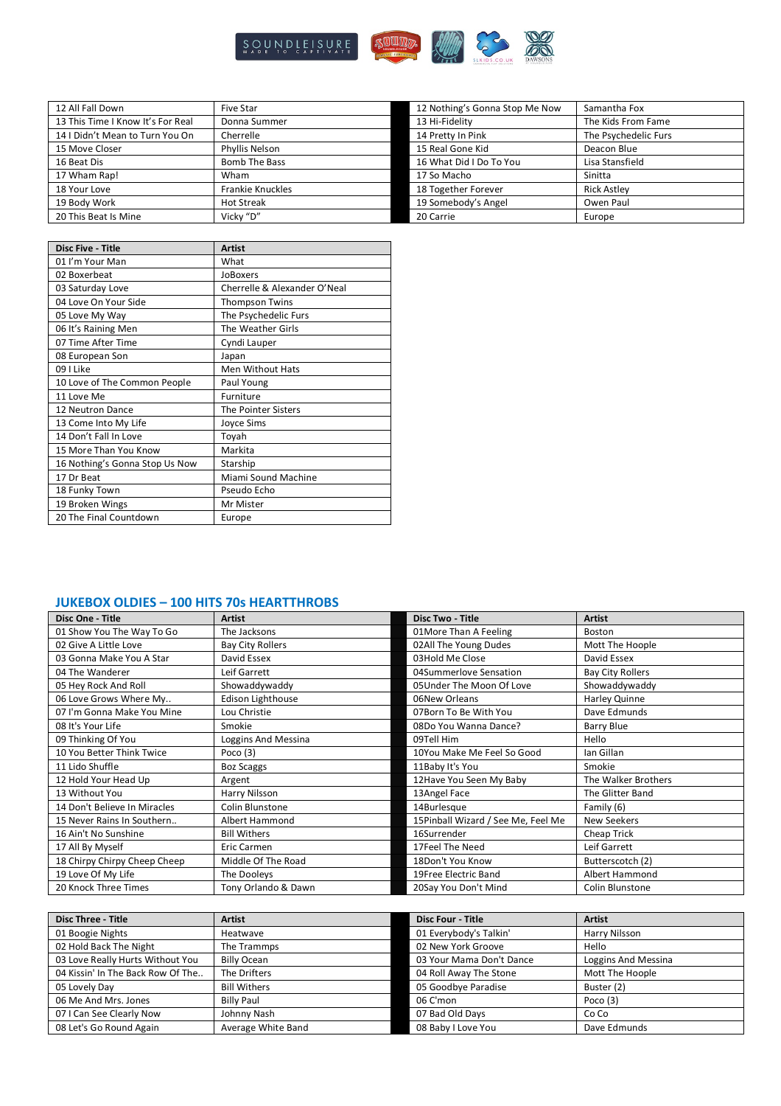

| 12 All Fall Down                  | Five Star               | 12 Nothing's Gonna Stop Me Now | Samantha Fox         |
|-----------------------------------|-------------------------|--------------------------------|----------------------|
| 13 This Time I Know It's For Real | Donna Summer            | 13 Hi-Fidelity                 | The Kids From Fame   |
| 14   Didn't Mean to Turn You On   | Cherrelle               | 14 Pretty In Pink              | The Psychedelic Furs |
| 15 Move Closer                    | Phyllis Nelson          | 15 Real Gone Kid               | Deacon Blue          |
| 16 Beat Dis                       | <b>Bomb The Bass</b>    | 16 What Did I Do To You        | Lisa Stansfield      |
| 17 Wham Rap!                      | Wham                    | 17 So Macho                    | Sinitta              |
| 18 Your Love                      | <b>Frankie Knuckles</b> | 18 Together Forever            | <b>Rick Astley</b>   |
| 19 Body Work                      | <b>Hot Streak</b>       | 19 Somebody's Angel            | Owen Paul            |
| 20 This Beat Is Mine              | Vicky "D"               | 20 Carrie                      | Europe               |

| <b>Disc Five - Title</b>       | <b>Artist</b>                |
|--------------------------------|------------------------------|
| 01 I'm Your Man                | What                         |
| 02 Boxerbeat                   | JoBoxers                     |
| 03 Saturday Love               | Cherrelle & Alexander O'Neal |
| 04 Love On Your Side           | <b>Thompson Twins</b>        |
| 05 Love My Way                 | The Psychedelic Furs         |
| 06 It's Raining Men            | The Weather Girls            |
| 07 Time After Time             | Cyndi Lauper                 |
| 08 European Son                | Japan                        |
| 09 I Like                      | <b>Men Without Hats</b>      |
| 10 Love of The Common People   | Paul Young                   |
| 11 Love Me                     | Furniture                    |
| 12 Neutron Dance               | The Pointer Sisters          |
| 13 Come Into My Life           | <b>Joyce Sims</b>            |
| 14 Don't Fall In Love          | Toyah                        |
| 15 More Than You Know          | Markita                      |
| 16 Nothing's Gonna Stop Us Now | Starship                     |
| 17 Dr Beat                     | Miami Sound Machine          |
| 18 Funky Town                  | Pseudo Echo                  |
| 19 Broken Wings                | Mr Mister                    |
| 20 The Final Countdown         | Europe                       |

### **JUKEBOX OLDIES – 100 HITS 70s HEARTTHROBS**

| Disc One - Title             | <b>Artist</b>           | <b>Disc Two - Title</b>            | <b>Artist</b>           |
|------------------------------|-------------------------|------------------------------------|-------------------------|
| 01 Show You The Way To Go    | The Jacksons            | 01More Than A Feeling              | Boston                  |
| 02 Give A Little Love        | <b>Bay City Rollers</b> | 02All The Young Dudes              | Mott The Hoople         |
| 03 Gonna Make You A Star     | David Essex             | 03Hold Me Close                    | David Essex             |
| 04 The Wanderer              | Leif Garrett            | 04Summerlove Sensation             | <b>Bay City Rollers</b> |
| 05 Hey Rock And Roll         | Showaddywaddy           | 05 Under The Moon Of Love          | Showaddywaddy           |
| 06 Love Grows Where My       | Edison Lighthouse       | 06New Orleans                      | Harley Quinne           |
| 07 I'm Gonna Make You Mine   | Lou Christie            | 07Born To Be With You              | Dave Edmunds            |
| 08 It's Your Life            | Smokie                  | 08Do You Wanna Dance?              | Barry Blue              |
| 09 Thinking Of You           | Loggins And Messina     | 09Tell Him                         | Hello                   |
| 10 You Better Think Twice    | Poco $(3)$              | 10You Make Me Feel So Good         | Ian Gillan              |
| 11 Lido Shuffle              | <b>Boz Scaggs</b>       | 11Baby It's You                    | Smokie                  |
| 12 Hold Your Head Up         | Argent                  | 12Have You Seen My Baby            | The Walker Brothers     |
| 13 Without You               | Harry Nilsson           | 13Angel Face                       | The Glitter Band        |
| 14 Don't Believe In Miracles | Colin Blunstone         | 14Burlesque                        | Family (6)              |
| 15 Never Rains In Southern   | Albert Hammond          | 15Pinball Wizard / See Me, Feel Me | New Seekers             |
| 16 Ain't No Sunshine         | <b>Bill Withers</b>     | 16Surrender                        | Cheap Trick             |
| 17 All By Myself             | Eric Carmen             | 17Feel The Need                    | Leif Garrett            |
| 18 Chirpy Chirpy Cheep Cheep | Middle Of The Road      | 18Don't You Know                   | Butterscotch (2)        |
| 19 Love Of My Life           | The Dooleys             | 19Free Electric Band               | Albert Hammond          |
| 20 Knock Three Times         | Tony Orlando & Dawn     | 20Say You Don't Mind               | Colin Blunstone         |

| <b>Disc Three - Title</b>         | Artist              | <b>Disc Four - Title</b> | <b>Artist</b>       |
|-----------------------------------|---------------------|--------------------------|---------------------|
| 01 Boogie Nights                  | Heatwave            | 01 Everybody's Talkin'   | Harry Nilsson       |
| 02 Hold Back The Night            | The Trammps         | 02 New York Groove       | Hello               |
| 03 Love Really Hurts Without You  | <b>Billy Ocean</b>  | 03 Your Mama Don't Dance | Loggins And Messina |
| 04 Kissin' In The Back Row Of The | The Drifters        | 04 Roll Away The Stone   | Mott The Hoople     |
| 05 Lovely Day                     | <b>Bill Withers</b> | 05 Goodbye Paradise      | Buster (2)          |
| 06 Me And Mrs. Jones              | <b>Billy Paul</b>   | 06 C'mon                 | Poco $(3)$          |
| 07 I Can See Clearly Now          | Johnny Nash         | 07 Bad Old Days          | Co Co               |
| 08 Let's Go Round Again           | Average White Band  | 08 Baby I Love You       | Dave Edmunds        |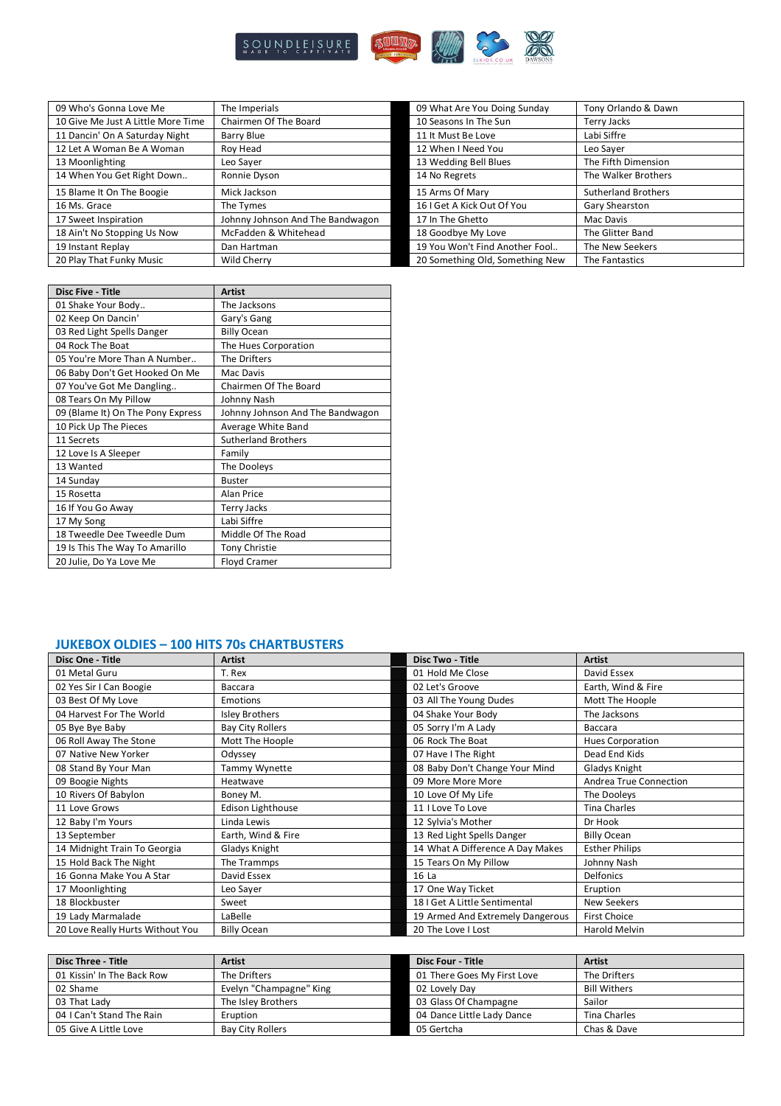

| 09 Who's Gonna Love Me             | The Imperials                    | 09 What Are You Doing Sunday    | Tony Orlando & Dawn        |
|------------------------------------|----------------------------------|---------------------------------|----------------------------|
| 10 Give Me Just A Little More Time | Chairmen Of The Board            | 10 Seasons In The Sun           | Terry Jacks                |
| 11 Dancin' On A Saturday Night     | Barry Blue                       | 11 It Must Be Love              | Labi Siffre                |
| 12 Let A Woman Be A Woman          | Roy Head                         | 12 When I Need You              | Leo Sayer                  |
| 13 Moonlighting                    | Leo Saver                        | 13 Wedding Bell Blues           | The Fifth Dimension        |
| 14 When You Get Right Down         | Ronnie Dyson                     | 14 No Regrets                   | The Walker Brothers        |
| 15 Blame It On The Boogie          | Mick Jackson                     | 15 Arms Of Mary                 | <b>Sutherland Brothers</b> |
| 16 Ms. Grace                       | The Tymes                        | 16   Get A Kick Out Of You      | Gary Shearston             |
| 17 Sweet Inspiration               | Johnny Johnson And The Bandwagon | 17 In The Ghetto                | Mac Davis                  |
| 18 Ain't No Stopping Us Now        | McFadden & Whitehead             | 18 Goodbye My Love              | The Glitter Band           |
| 19 Instant Replay                  | Dan Hartman                      | 19 You Won't Find Another Fool  | The New Seekers            |
| 20 Play That Funky Music           | <b>Wild Cherry</b>               | 20 Something Old, Something New | The Fantastics             |

| <b>Disc Five - Title</b>          | <b>Artist</b>                    |
|-----------------------------------|----------------------------------|
| 01 Shake Your Body                | The Jacksons                     |
| 02 Keep On Dancin'                | Gary's Gang                      |
| 03 Red Light Spells Danger        | <b>Billy Ocean</b>               |
| 04 Rock The Boat                  | The Hues Corporation             |
| 05 You're More Than A Number      | The Drifters                     |
| 06 Baby Don't Get Hooked On Me    | Mac Davis                        |
| 07 You've Got Me Dangling         | Chairmen Of The Board            |
| 08 Tears On My Pillow             | Johnny Nash                      |
| 09 (Blame It) On The Pony Express | Johnny Johnson And The Bandwagon |
| 10 Pick Up The Pieces             | Average White Band               |
| 11 Secrets                        | <b>Sutherland Brothers</b>       |
| 12 Love Is A Sleeper              | Family                           |
| 13 Wanted                         | The Dooleys                      |
| 14 Sunday                         | <b>Buster</b>                    |
| 15 Rosetta                        | Alan Price                       |
| 16 If You Go Away                 | <b>Terry Jacks</b>               |
| 17 My Song                        | Labi Siffre                      |
| 18 Tweedle Dee Tweedle Dum        | Middle Of The Road               |
| 19 Is This The Way To Amarillo    | <b>Tony Christie</b>             |
| 20 Julie, Do Ya Love Me           | Floyd Cramer                     |

### **JUKEBOX OLDIES – 100 HITS 70s CHARTBUSTERS**

| Disc One - Title                 | <b>Artist</b>            | <b>Disc Two - Title</b>          | <b>Artist</b>           |
|----------------------------------|--------------------------|----------------------------------|-------------------------|
| 01 Metal Guru                    | T. Rex                   | 01 Hold Me Close                 | David Essex             |
| 02 Yes Sir I Can Boogie          | Baccara                  | 02 Let's Groove                  | Earth, Wind & Fire      |
| 03 Best Of My Love               | <b>Emotions</b>          | 03 All The Young Dudes           | Mott The Hoople         |
| 04 Harvest For The World         | <b>Isley Brothers</b>    | 04 Shake Your Body               | The Jacksons            |
| 05 Bye Bye Baby                  | <b>Bay City Rollers</b>  | 05 Sorry I'm A Lady              | Baccara                 |
| 06 Roll Away The Stone           | Mott The Hoople          | 06 Rock The Boat                 | <b>Hues Corporation</b> |
| 07 Native New Yorker             | Odyssey                  | 07 Have I The Right              | Dead End Kids           |
| 08 Stand By Your Man             | Tammy Wynette            | 08 Baby Don't Change Your Mind   | Gladys Knight           |
| 09 Boogie Nights                 | Heatwave                 | 09 More More More                | Andrea True Connection  |
| 10 Rivers Of Babylon             | Boney M.                 | 10 Love Of My Life               | The Dooleys             |
| 11 Love Grows                    | <b>Edison Lighthouse</b> | 11 I Love To Love                | <b>Tina Charles</b>     |
| 12 Baby I'm Yours                | Linda Lewis              | 12 Sylvia's Mother               | Dr Hook                 |
| 13 September                     | Earth, Wind & Fire       | 13 Red Light Spells Danger       | <b>Billy Ocean</b>      |
| 14 Midnight Train To Georgia     | Gladys Knight            | 14 What A Difference A Day Makes | <b>Esther Philips</b>   |
| 15 Hold Back The Night           | The Trammps              | 15 Tears On My Pillow            | Johnny Nash             |
| 16 Gonna Make You A Star         | David Essex              | 16 La                            | <b>Delfonics</b>        |
| 17 Moonlighting                  | Leo Sayer                | 17 One Way Ticket                | Eruption                |
| 18 Blockbuster                   | Sweet                    | 18 I Get A Little Sentimental    | <b>New Seekers</b>      |
| 19 Lady Marmalade                | LaBelle                  | 19 Armed And Extremely Dangerous | <b>First Choice</b>     |
| 20 Love Really Hurts Without You | <b>Billy Ocean</b>       | 20 The Love I Lost               | Harold Melvin           |

| <b>Disc Three - Title</b>  | <b>Artist</b>           | <b>Disc Four - Title</b>    | <b>Artist</b>       |
|----------------------------|-------------------------|-----------------------------|---------------------|
| 01 Kissin' In The Back Row | The Drifters            | 01 There Goes My First Love | The Drifters        |
| 02 Shame                   | Evelyn "Champagne" King | 02 Lovely Day               | <b>Bill Withers</b> |
| 03 That Lady               | The Isley Brothers      | 03 Glass Of Champagne       | Sailor              |
| 04   Can't Stand The Rain  | Eruption                | 04 Dance Little Lady Dance  | Tina Charles        |
| 05 Give A Little Love      | <b>Bay City Rollers</b> | 05 Gertcha                  | Chas & Dave         |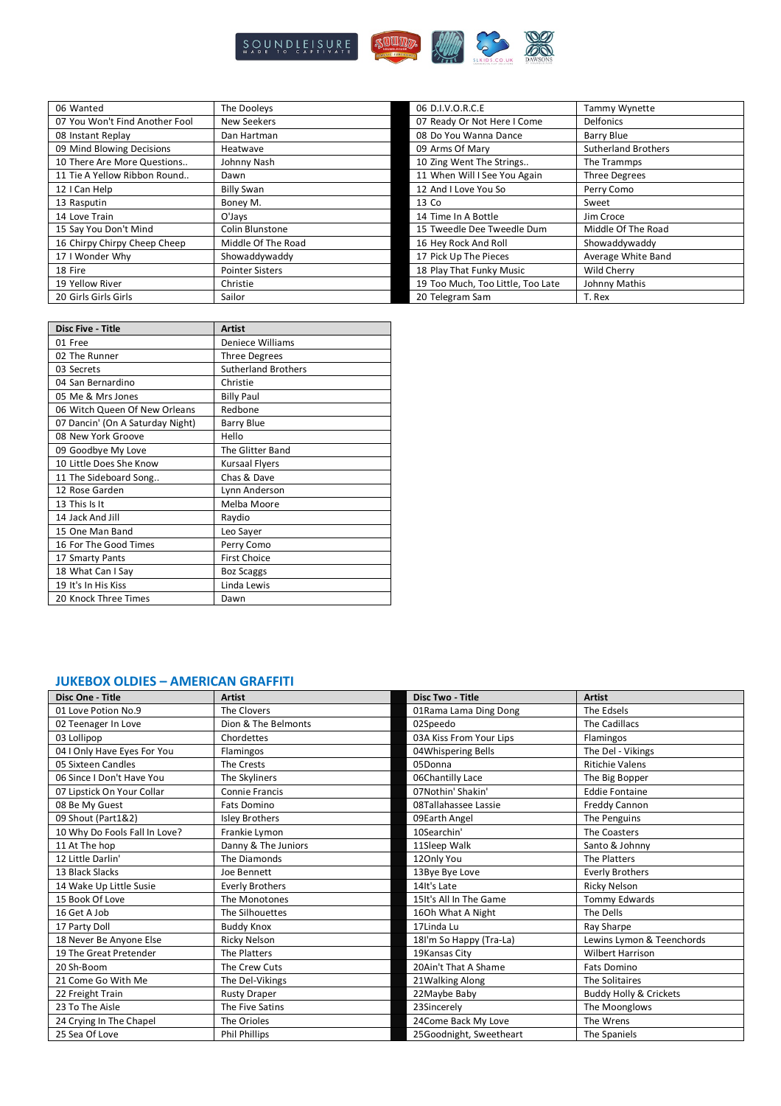

| 06 Wanted                      | The Dooleys            | 06 D.I.V.O.R.C.E                  | Tammy Wynette              |
|--------------------------------|------------------------|-----------------------------------|----------------------------|
| 07 You Won't Find Another Fool | New Seekers            | 07 Ready Or Not Here I Come       | <b>Delfonics</b>           |
| 08 Instant Replay              | Dan Hartman            | 08 Do You Wanna Dance             | Barry Blue                 |
| 09 Mind Blowing Decisions      | Heatwave               | 09 Arms Of Mary                   | <b>Sutherland Brothers</b> |
| 10 There Are More Questions    | Johnny Nash            | 10 Zing Went The Strings          | The Trammps                |
| 11 Tie A Yellow Ribbon Round   | Dawn                   | 11 When Will I See You Again      | <b>Three Degrees</b>       |
| 12 I Can Help                  | <b>Billy Swan</b>      | 12 And I Love You So              | Perry Como                 |
| 13 Rasputin                    | Boney M.               | 13 Co                             | Sweet                      |
| 14 Love Train                  | O'Jays                 | 14 Time In A Bottle               | Jim Croce                  |
| 15 Say You Don't Mind          | Colin Blunstone        | 15 Tweedle Dee Tweedle Dum        | Middle Of The Road         |
| 16 Chirpy Chirpy Cheep Cheep   | Middle Of The Road     | 16 Hey Rock And Roll              | Showaddywaddy              |
| 17 I Wonder Why                | Showaddywaddy          | 17 Pick Up The Pieces             | Average White Band         |
| 18 Fire                        | <b>Pointer Sisters</b> | 18 Play That Funky Music          | Wild Cherry                |
| 19 Yellow River                | Christie               | 19 Too Much, Too Little, Too Late | Johnny Mathis              |
| 20 Girls Girls Girls           | Sailor                 | 20 Telegram Sam                   | T. Rex                     |

| <b>Disc Five - Title</b>         | <b>Artist</b>              |
|----------------------------------|----------------------------|
| 01 Free                          | <b>Deniece Williams</b>    |
| 02 The Runner                    | <b>Three Degrees</b>       |
| 03 Secrets                       | <b>Sutherland Brothers</b> |
| 04 San Bernardino                | Christie                   |
| 05 Me & Mrs Jones                | <b>Billy Paul</b>          |
| 06 Witch Queen Of New Orleans    | Redbone                    |
| 07 Dancin' (On A Saturday Night) | <b>Barry Blue</b>          |
| 08 New York Groove               | Hello                      |
| 09 Goodbye My Love               | The Glitter Band           |
| 10 Little Does She Know          | <b>Kursaal Flyers</b>      |
| 11 The Sideboard Song            | Chas & Dave                |
| 12 Rose Garden                   | Lynn Anderson              |
| 13 This Is It                    | Melba Moore                |
| 14 Jack And Jill                 | Raydio                     |
| 15 One Man Band                  | Leo Sayer                  |
| 16 For The Good Times            | Perry Como                 |
| 17 Smarty Pants                  | <b>First Choice</b>        |
| 18 What Can I Say                | <b>Boz Scaggs</b>          |
| 19 It's In His Kiss              | Linda Lewis                |
| 20 Knock Three Times             | Dawn                       |

#### **JUKEBOX OLDIES – AMERICAN GRAFFITI**

| Disc One - Title              | <b>Artist</b>          | Disc Two - Title        | <b>Artist</b>                     |
|-------------------------------|------------------------|-------------------------|-----------------------------------|
| 01 Love Potion No.9           | The Clovers            | 01Rama Lama Ding Dong   | The Edsels                        |
| 02 Teenager In Love           | Dion & The Belmonts    | 02Speedo                | The Cadillacs                     |
| 03 Lollipop                   | Chordettes             | 03A Kiss From Your Lips | Flamingos                         |
| 04 I Only Have Eyes For You   | Flamingos              | 04Whispering Bells      | The Del - Vikings                 |
| 05 Sixteen Candles            | The Crests             | 05Donna                 | <b>Ritichie Valens</b>            |
| 06 Since I Don't Have You     | The Skyliners          | 06Chantilly Lace        | The Big Bopper                    |
| 07 Lipstick On Your Collar    | Connie Francis         | 07Nothin' Shakin'       | <b>Eddie Fontaine</b>             |
| 08 Be My Guest                | Fats Domino            | 08Tallahassee Lassie    | Freddy Cannon                     |
| 09 Shout (Part1&2)            | <b>Isley Brothers</b>  | 09Earth Angel           | The Penguins                      |
| 10 Why Do Fools Fall In Love? | Frankie Lymon          | 10Searchin'             | The Coasters                      |
| 11 At The hop                 | Danny & The Juniors    | 11Sleep Walk            | Santo & Johnny                    |
| 12 Little Darlin'             | The Diamonds           | 120nly You              | The Platters                      |
| 13 Black Slacks               | Joe Bennett            | 13Bye Bye Love          | <b>Everly Brothers</b>            |
| 14 Wake Up Little Susie       | <b>Everly Brothers</b> | 14It's Late             | <b>Ricky Nelson</b>               |
| 15 Book Of Love               | The Monotones          | 15It's All In The Game  | Tommy Edwards                     |
| 16 Get A Job                  | The Silhouettes        | 160h What A Night       | The Dells                         |
| 17 Party Doll                 | <b>Buddy Knox</b>      | 17Linda Lu              | Ray Sharpe                        |
| 18 Never Be Anyone Else       | Ricky Nelson           | 18I'm So Happy (Tra-La) | Lewins Lymon & Teenchords         |
| 19 The Great Pretender        | The Platters           | 19Kansas City           | <b>Wilbert Harrison</b>           |
| 20 Sh-Boom                    | The Crew Cuts          | 20Ain't That A Shame    | <b>Fats Domino</b>                |
| 21 Come Go With Me            | The Del-Vikings        | 21 Walking Along        | The Solitaires                    |
| 22 Freight Train              | <b>Rusty Draper</b>    | 22Maybe Baby            | <b>Buddy Holly &amp; Crickets</b> |
| 23 To The Aisle               | The Five Satins        | 23Sincerely             | The Moonglows                     |
| 24 Crying In The Chapel       | The Orioles            | 24Come Back My Love     | The Wrens                         |
| 25 Sea Of Love                | <b>Phil Phillips</b>   | 25Goodnight, Sweetheart | The Spaniels                      |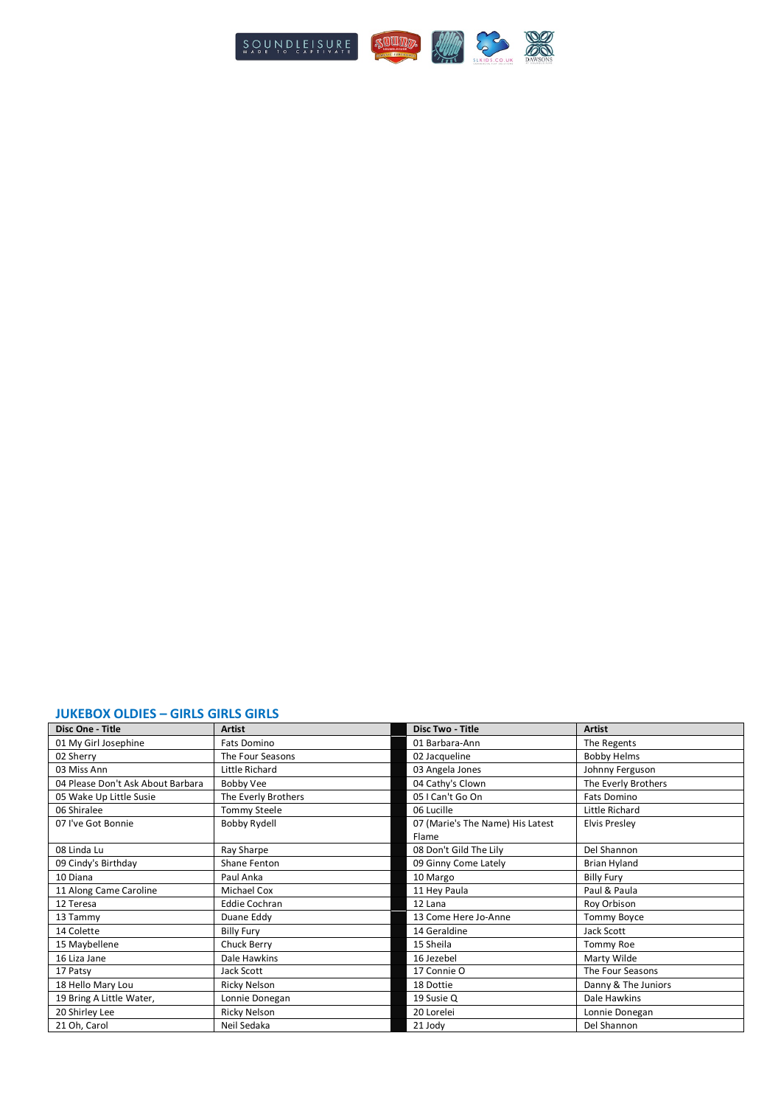

### **JUKEBOX OLDIES – GIRLS GIRLS GIRLS**

| Disc One - Title                  | <b>Artist</b>        | <b>Disc Two - Title</b>          | <b>Artist</b>        |
|-----------------------------------|----------------------|----------------------------------|----------------------|
| 01 My Girl Josephine              | Fats Domino          | 01 Barbara-Ann                   | The Regents          |
| 02 Sherry                         | The Four Seasons     | 02 Jacqueline                    | <b>Bobby Helms</b>   |
| 03 Miss Ann                       | Little Richard       | 03 Angela Jones                  | Johnny Ferguson      |
| 04 Please Don't Ask About Barbara | Bobby Vee            | 04 Cathy's Clown                 | The Everly Brothers  |
| 05 Wake Up Little Susie           | The Everly Brothers  | 05 I Can't Go On                 | Fats Domino          |
| 06 Shiralee                       | <b>Tommy Steele</b>  | 06 Lucille                       | Little Richard       |
| 07 I've Got Bonnie                | <b>Bobby Rydell</b>  | 07 (Marie's The Name) His Latest | <b>Elvis Presley</b> |
|                                   |                      | Flame                            |                      |
| 08 Linda Lu                       | Ray Sharpe           | 08 Don't Gild The Lily           | Del Shannon          |
| 09 Cindy's Birthday               | Shane Fenton         | 09 Ginny Come Lately             | <b>Brian Hyland</b>  |
| 10 Diana                          | Paul Anka            | 10 Margo                         | <b>Billy Fury</b>    |
| 11 Along Came Caroline            | Michael Cox          | 11 Hey Paula                     | Paul & Paula         |
| 12 Teresa                         | <b>Eddie Cochran</b> | 12 Lana                          | Roy Orbison          |
| 13 Tammy                          | Duane Eddy           | 13 Come Here Jo-Anne             | <b>Tommy Boyce</b>   |
| 14 Colette                        | <b>Billy Fury</b>    | 14 Geraldine                     | Jack Scott           |
| 15 Maybellene                     | Chuck Berry          | 15 Sheila                        | Tommy Roe            |
| 16 Liza Jane                      | Dale Hawkins         | 16 Jezebel                       | Marty Wilde          |
| 17 Patsy                          | Jack Scott           | 17 Connie O                      | The Four Seasons     |
| 18 Hello Mary Lou                 | Ricky Nelson         | 18 Dottie                        | Danny & The Juniors  |
| 19 Bring A Little Water,          | Lonnie Donegan       | 19 Susie Q                       | Dale Hawkins         |
| 20 Shirley Lee                    | Ricky Nelson         | 20 Lorelei                       | Lonnie Donegan       |
| 21 Oh, Carol                      | Neil Sedaka          | 21 Jody                          | Del Shannon          |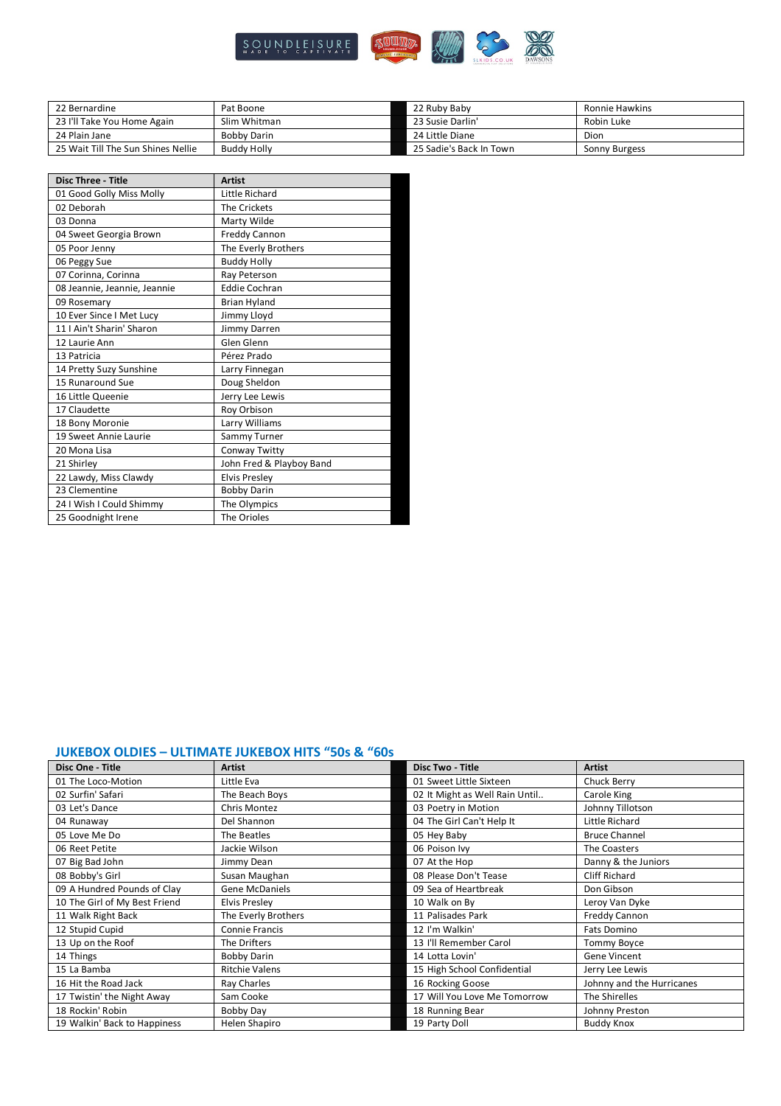

| 22 Bernardine                      | Pat Boone          | 22 Ruby Baby            | Ronnie Hawkins |
|------------------------------------|--------------------|-------------------------|----------------|
| 23 I'll Take You Home Again        | Slim Whitman       | 23 Susie Darlin'        | Robin Luke     |
| 24 Plain Jane                      | Bobby Darin        | 24 Little Diane         | Dion           |
| 25 Wait Till The Sun Shines Nellie | <b>Buddy Holly</b> | 25 Sadie's Back In Town | Sonny Burgess  |

| <b>Disc Three - Title</b>    | <b>Artist</b>            |
|------------------------------|--------------------------|
| 01 Good Golly Miss Molly     | Little Richard           |
| 02 Deborah                   | The Crickets             |
| 03 Donna                     | Marty Wilde              |
| 04 Sweet Georgia Brown       | <b>Freddy Cannon</b>     |
| 05 Poor Jenny                | The Everly Brothers      |
| 06 Peggy Sue                 | <b>Buddy Holly</b>       |
| 07 Corinna, Corinna          | Ray Peterson             |
| 08 Jeannie, Jeannie, Jeannie | <b>Eddie Cochran</b>     |
| 09 Rosemary                  | <b>Brian Hyland</b>      |
| 10 Ever Since I Met Lucy     | Jimmy Lloyd              |
| 11   Ain't Sharin' Sharon    | Jimmy Darren             |
| 12 Laurie Ann                | Glen Glenn               |
| 13 Patricia                  | Pérez Prado              |
| 14 Pretty Suzy Sunshine      | Larry Finnegan           |
| 15 Runaround Sue             | Doug Sheldon             |
| 16 Little Queenie            | Jerry Lee Lewis          |
| 17 Claudette                 | Roy Orbison              |
| 18 Bony Moronie              | Larry Williams           |
| 19 Sweet Annie Laurie        | Sammy Turner             |
| 20 Mona Lisa                 | Conway Twitty            |
| 21 Shirley                   | John Fred & Playboy Band |
| 22 Lawdy, Miss Clawdy        | <b>Elvis Presley</b>     |
| 23 Clementine                | <b>Bobby Darin</b>       |
| 24   Wish   Could Shimmy     | The Olympics             |
| 25 Goodnight Irene           | The Orioles              |

### **JUKEBOX OLDIES – ULTIMATE JUKEBOX HITS "50s & "60s**

| Disc One - Title              | Artist                | Disc Two - Title               | <b>Artist</b>             |  |
|-------------------------------|-----------------------|--------------------------------|---------------------------|--|
| 01 The Loco-Motion            | Little Eva            | 01 Sweet Little Sixteen        | Chuck Berry               |  |
| 02 Surfin' Safari             | The Beach Boys        | 02 It Might as Well Rain Until | Carole King               |  |
| 03 Let's Dance                | Chris Montez          | 03 Poetry in Motion            | Johnny Tillotson          |  |
| 04 Runaway                    | Del Shannon           | 04 The Girl Can't Help It      | Little Richard            |  |
| 05 Love Me Do                 | The Beatles           | 05 Hey Baby                    | <b>Bruce Channel</b>      |  |
| 06 Reet Petite                | Jackie Wilson         | 06 Poison Ivy                  | The Coasters              |  |
| 07 Big Bad John               | Jimmy Dean            | 07 At the Hop                  | Danny & the Juniors       |  |
| 08 Bobby's Girl               | Susan Maughan         | 08 Please Don't Tease          | <b>Cliff Richard</b>      |  |
| 09 A Hundred Pounds of Clay   | <b>Gene McDaniels</b> | 09 Sea of Heartbreak           | Don Gibson                |  |
| 10 The Girl of My Best Friend | <b>Elvis Presley</b>  | 10 Walk on By                  | Leroy Van Dyke            |  |
| 11 Walk Right Back            | The Everly Brothers   | 11 Palisades Park              | Freddy Cannon             |  |
| 12 Stupid Cupid               | Connie Francis        | 12 I'm Walkin'                 | <b>Fats Domino</b>        |  |
| 13 Up on the Roof             | The Drifters          | 13 I'll Remember Carol         | Tommy Boyce               |  |
| 14 Things                     | <b>Bobby Darin</b>    | 14 Lotta Lovin'                | Gene Vincent              |  |
| 15 La Bamba                   | <b>Ritchie Valens</b> | 15 High School Confidential    | Jerry Lee Lewis           |  |
| 16 Hit the Road Jack          | Ray Charles           | 16 Rocking Goose               | Johnny and the Hurricanes |  |
| 17 Twistin' the Night Away    | Sam Cooke             | 17 Will You Love Me Tomorrow   | The Shirelles             |  |
| 18 Rockin' Robin              | Bobby Day             | 18 Running Bear                | Johnny Preston            |  |
| 19 Walkin' Back to Happiness  | Helen Shapiro         | 19 Party Doll                  | <b>Buddy Knox</b>         |  |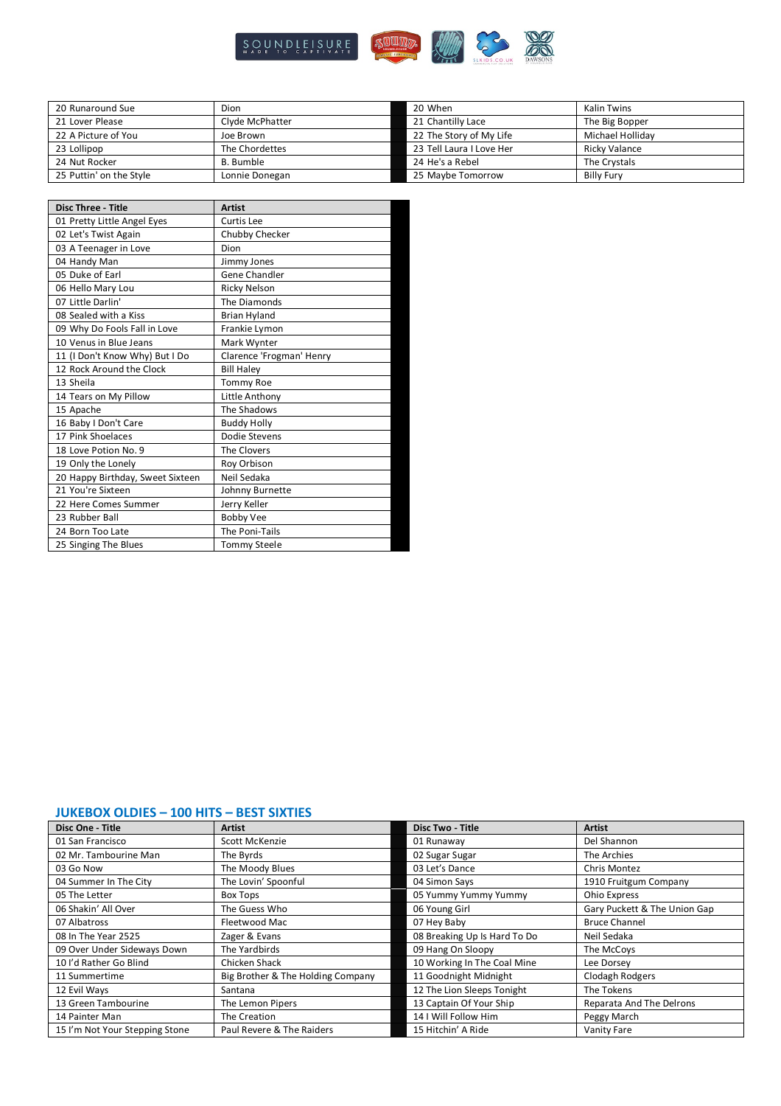

| 20 Runaround Sue        | Dion            | 20 When                  | <b>Kalin Twins</b> |
|-------------------------|-----------------|--------------------------|--------------------|
| 21 Lover Please         | Clyde McPhatter | 21 Chantilly Lace        | The Big Bopper     |
| 22 A Picture of You     | Joe Brown       | 22 The Story of My Life  | Michael Hollidav   |
| 23 Lollipop             | The Chordettes  | 23 Tell Laura I Love Her | Ricky Valance      |
| 24 Nut Rocker           | B. Bumble       | 24 He's a Rebel          | The Crystals       |
| 25 Puttin' on the Style | Lonnie Donegan  | 25 Maybe Tomorrow        | <b>Billy Fury</b>  |

| <b>Disc Three - Title</b>        | <b>Artist</b>            |
|----------------------------------|--------------------------|
| 01 Pretty Little Angel Eyes      | <b>Curtis Lee</b>        |
| 02 Let's Twist Again             | Chubby Checker           |
| 03 A Teenager in Love            | Dion                     |
| 04 Handy Man                     | Jimmy Jones              |
| 05 Duke of Earl                  | Gene Chandler            |
| 06 Hello Mary Lou                | <b>Ricky Nelson</b>      |
| 07 Little Darlin'                | The Diamonds             |
| 08 Sealed with a Kiss            | <b>Brian Hyland</b>      |
| 09 Why Do Fools Fall in Love     | Frankie Lymon            |
| 10 Venus in Blue Jeans           | Mark Wynter              |
| 11 (I Don't Know Why) But I Do   | Clarence 'Frogman' Henry |
| 12 Rock Around the Clock         | <b>Bill Haley</b>        |
| 13 Sheila                        | <b>Tommy Roe</b>         |
| 14 Tears on My Pillow            | Little Anthony           |
| 15 Apache                        | The Shadows              |
| 16 Baby I Don't Care             | <b>Buddy Holly</b>       |
| 17 Pink Shoelaces                | Dodie Stevens            |
| 18 Love Potion No. 9             | The Clovers              |
| 19 Only the Lonely               | Roy Orbison              |
| 20 Happy Birthday, Sweet Sixteen | Neil Sedaka              |
| 21 You're Sixteen                | Johnny Burnette          |
| 22 Here Comes Summer             | Jerry Keller             |
| 23 Rubber Ball                   | <b>Bobby Vee</b>         |
| 24 Born Too Late                 | The Poni-Tails           |
| 25 Singing The Blues             | <b>Tommy Steele</b>      |

## **JUKEBOX OLDIES – 100 HITS – BEST SIXTIES**

| Disc One - Title               | <b>Artist</b>                     | Disc Two - Title             | <b>Artist</b>                |
|--------------------------------|-----------------------------------|------------------------------|------------------------------|
| 01 San Francisco               | Scott McKenzie                    | 01 Runaway                   | Del Shannon                  |
| 02 Mr. Tambourine Man          | The Byrds                         | 02 Sugar Sugar               | The Archies                  |
| 03 Go Now                      | The Moody Blues                   | 03 Let's Dance               | <b>Chris Montez</b>          |
| 04 Summer In The City          | The Lovin' Spoonful               | 04 Simon Says                | 1910 Fruitgum Company        |
| 05 The Letter                  | <b>Box Tops</b>                   | 05 Yummy Yummy Yummy         | Ohio Express                 |
| 06 Shakin' All Over            | The Guess Who                     | 06 Young Girl                | Gary Puckett & The Union Gap |
| 07 Albatross                   | Fleetwood Mac                     | 07 Hey Baby                  | <b>Bruce Channel</b>         |
| 08 In The Year 2525            | Zager & Evans                     | 08 Breaking Up Is Hard To Do | Neil Sedaka                  |
| 09 Over Under Sideways Down    | The Yardbirds                     | 09 Hang On Sloopy            | The McCoys                   |
| 10 I'd Rather Go Blind         | Chicken Shack                     | 10 Working In The Coal Mine  | Lee Dorsey                   |
| 11 Summertime                  | Big Brother & The Holding Company | 11 Goodnight Midnight        | <b>Clodagh Rodgers</b>       |
| 12 Evil Ways                   | Santana                           | 12 The Lion Sleeps Tonight   | The Tokens                   |
| 13 Green Tambourine            | The Lemon Pipers                  | 13 Captain Of Your Ship      | Reparata And The Delrons     |
| 14 Painter Man                 | The Creation                      | 14 I Will Follow Him         | Peggy March                  |
| 15 I'm Not Your Stepping Stone | Paul Revere & The Raiders         | 15 Hitchin' A Ride           | Vanity Fare                  |